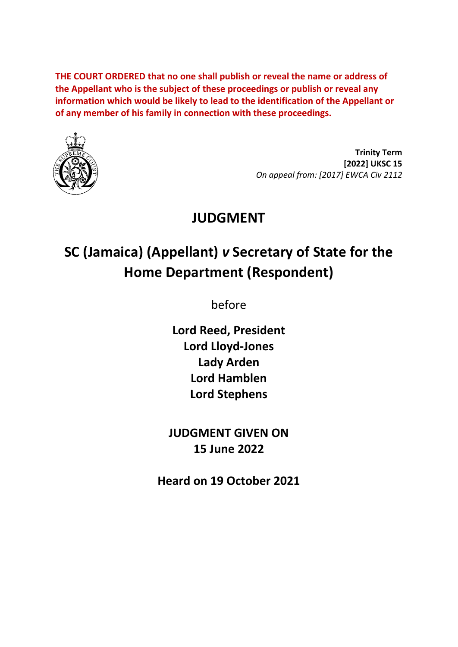**THE COURT ORDERED that no one shall publish or reveal the name or address of the Appellant who is the subject of these proceedings or publish or reveal any information which would be likely to lead to the identification of the Appellant or of any member of his family in connection with these proceedings.**



**Trinity Term [2022] UKSC 15** *On appeal from: [2017] EWCA Civ 2112*

# **JUDGMENT**

# **SC (Jamaica) (Appellant)** *v* **Secretary of State for the Home Department (Respondent)**

before

**Lord Reed, President Lord Lloyd-Jones Lady Arden Lord Hamblen Lord Stephens**

**JUDGMENT GIVEN ON 15 June 2022**

**Heard on 19 October 2021**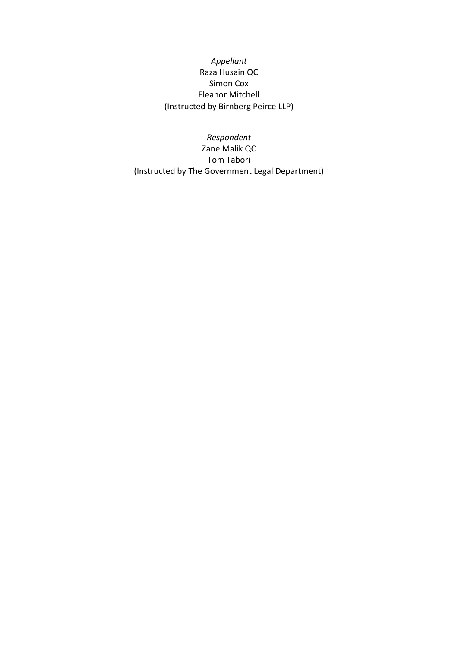#### *Appellant* Raza Husain QC Simon Cox Eleanor Mitchell (Instructed by Birnberg Peirce LLP)

*Respondent* Zane Malik QC Tom Tabori (Instructed by The Government Legal Department)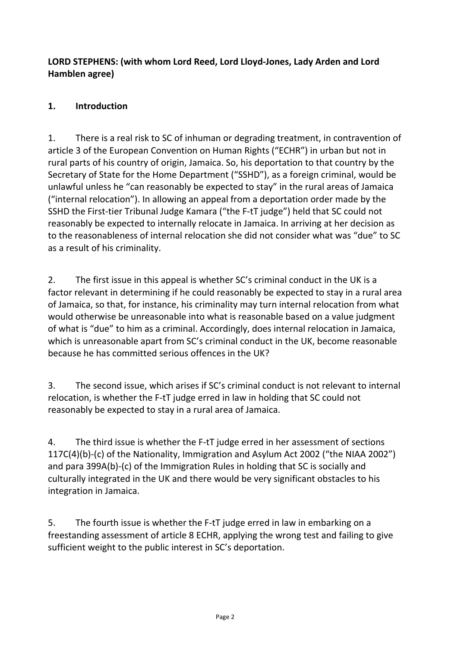#### **LORD STEPHENS: (with whom Lord Reed, Lord Lloyd-Jones, Lady Arden and Lord Hamblen agree)**

### **1. Introduction**

1. There is a real risk to SC of inhuman or degrading treatment, in contravention of article 3 of the European Convention on Human Rights ("ECHR") in urban but not in rural parts of his country of origin, Jamaica. So, his deportation to that country by the Secretary of State for the Home Department ("SSHD"), as a foreign criminal, would be unlawful unless he "can reasonably be expected to stay" in the rural areas of Jamaica ("internal relocation"). In allowing an appeal from a deportation order made by the SSHD the First-tier Tribunal Judge Kamara ("the F-tT judge") held that SC could not reasonably be expected to internally relocate in Jamaica. In arriving at her decision as to the reasonableness of internal relocation she did not consider what was "due" to SC as a result of his criminality.

2. The first issue in this appeal is whether SC's criminal conduct in the UK is a factor relevant in determining if he could reasonably be expected to stay in a rural area of Jamaica, so that, for instance, his criminality may turn internal relocation from what would otherwise be unreasonable into what is reasonable based on a value judgment of what is "due" to him as a criminal. Accordingly, does internal relocation in Jamaica, which is unreasonable apart from SC's criminal conduct in the UK, become reasonable because he has committed serious offences in the UK?

3. The second issue, which arises if SC's criminal conduct is not relevant to internal relocation, is whether the F-tT judge erred in law in holding that SC could not reasonably be expected to stay in a rural area of Jamaica.

4. The third issue is whether the F-tT judge erred in her assessment of sections 117C(4)(b)-(c) of the Nationality, Immigration and Asylum Act 2002 ("the NIAA 2002") and para 399A(b)-(c) of the Immigration Rules in holding that SC is socially and culturally integrated in the UK and there would be very significant obstacles to his integration in Jamaica.

5. The fourth issue is whether the F-tT judge erred in law in embarking on a freestanding assessment of article 8 ECHR, applying the wrong test and failing to give sufficient weight to the public interest in SC's deportation.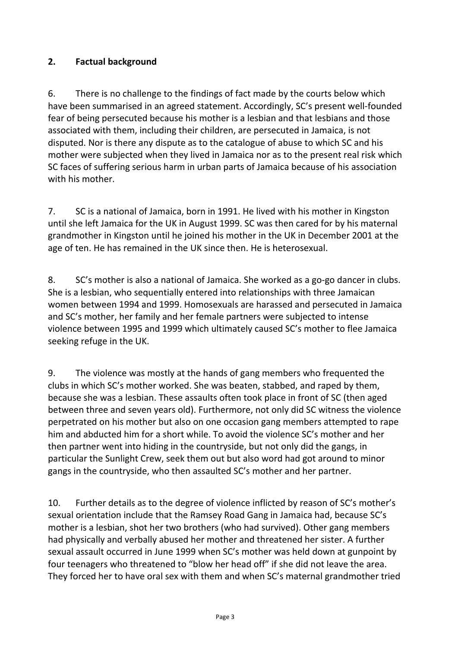#### **2. Factual background**

6. There is no challenge to the findings of fact made by the courts below which have been summarised in an agreed statement. Accordingly, SC's present well-founded fear of being persecuted because his mother is a lesbian and that lesbians and those associated with them, including their children, are persecuted in Jamaica, is not disputed. Nor is there any dispute as to the catalogue of abuse to which SC and his mother were subjected when they lived in Jamaica nor as to the present real risk which SC faces of suffering serious harm in urban parts of Jamaica because of his association with his mother.

7. SC is a national of Jamaica, born in 1991. He lived with his mother in Kingston until she left Jamaica for the UK in August 1999. SC was then cared for by his maternal grandmother in Kingston until he joined his mother in the UK in December 2001 at the age of ten. He has remained in the UK since then. He is heterosexual.

8. SC's mother is also a national of Jamaica. She worked as a go-go dancer in clubs. She is a lesbian, who sequentially entered into relationships with three Jamaican women between 1994 and 1999. Homosexuals are harassed and persecuted in Jamaica and SC's mother, her family and her female partners were subjected to intense violence between 1995 and 1999 which ultimately caused SC's mother to flee Jamaica seeking refuge in the UK.

9. The violence was mostly at the hands of gang members who frequented the clubs in which SC's mother worked. She was beaten, stabbed, and raped by them, because she was a lesbian. These assaults often took place in front of SC (then aged between three and seven years old). Furthermore, not only did SC witness the violence perpetrated on his mother but also on one occasion gang members attempted to rape him and abducted him for a short while. To avoid the violence SC's mother and her then partner went into hiding in the countryside, but not only did the gangs, in particular the Sunlight Crew, seek them out but also word had got around to minor gangs in the countryside, who then assaulted SC's mother and her partner.

10. Further details as to the degree of violence inflicted by reason of SC's mother's sexual orientation include that the Ramsey Road Gang in Jamaica had, because SC's mother is a lesbian, shot her two brothers (who had survived). Other gang members had physically and verbally abused her mother and threatened her sister. A further sexual assault occurred in June 1999 when SC's mother was held down at gunpoint by four teenagers who threatened to "blow her head off" if she did not leave the area. They forced her to have oral sex with them and when SC's maternal grandmother tried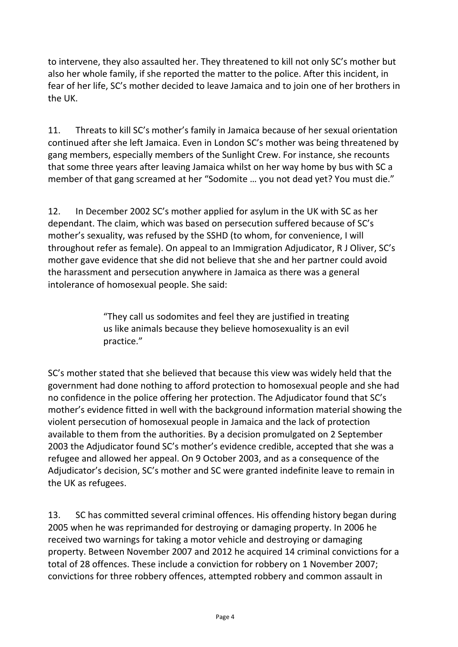to intervene, they also assaulted her. They threatened to kill not only SC's mother but also her whole family, if she reported the matter to the police. After this incident, in fear of her life, SC's mother decided to leave Jamaica and to join one of her brothers in the UK.

11. Threats to kill SC's mother's family in Jamaica because of her sexual orientation continued after she left Jamaica. Even in London SC's mother was being threatened by gang members, especially members of the Sunlight Crew. For instance, she recounts that some three years after leaving Jamaica whilst on her way home by bus with SC a member of that gang screamed at her "Sodomite … you not dead yet? You must die."

12. In December 2002 SC's mother applied for asylum in the UK with SC as her dependant. The claim, which was based on persecution suffered because of SC's mother's sexuality, was refused by the SSHD (to whom, for convenience, I will throughout refer as female). On appeal to an Immigration Adjudicator, R J Oliver, SC's mother gave evidence that she did not believe that she and her partner could avoid the harassment and persecution anywhere in Jamaica as there was a general intolerance of homosexual people. She said:

> "They call us sodomites and feel they are justified in treating us like animals because they believe homosexuality is an evil practice."

SC's mother stated that she believed that because this view was widely held that the government had done nothing to afford protection to homosexual people and she had no confidence in the police offering her protection. The Adjudicator found that SC's mother's evidence fitted in well with the background information material showing the violent persecution of homosexual people in Jamaica and the lack of protection available to them from the authorities. By a decision promulgated on 2 September 2003 the Adjudicator found SC's mother's evidence credible, accepted that she was a refugee and allowed her appeal. On 9 October 2003, and as a consequence of the Adjudicator's decision, SC's mother and SC were granted indefinite leave to remain in the UK as refugees.

13. SC has committed several criminal offences. His offending history began during 2005 when he was reprimanded for destroying or damaging property. In 2006 he received two warnings for taking a motor vehicle and destroying or damaging property. Between November 2007 and 2012 he acquired 14 criminal convictions for a total of 28 offences. These include a conviction for robbery on 1 November 2007; convictions for three robbery offences, attempted robbery and common assault in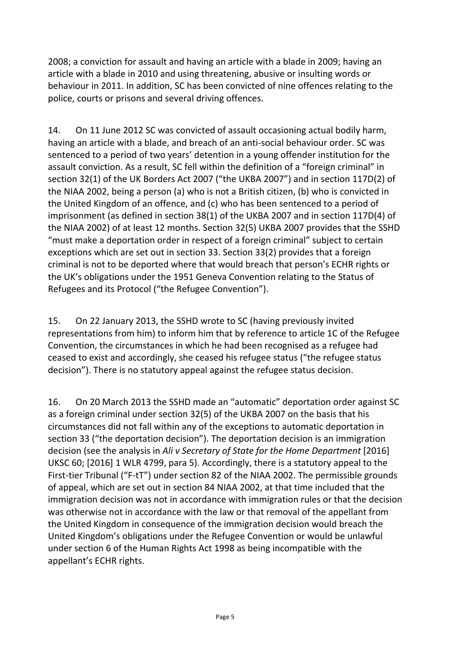2008; a conviction for assault and having an article with a blade in 2009; having an article with a blade in 2010 and using threatening, abusive or insulting words or behaviour in 2011. In addition, SC has been convicted of nine offences relating to the police, courts or prisons and several driving offences.

14. On 11 June 2012 SC was convicted of assault occasioning actual bodily harm, having an article with a blade, and breach of an anti-social behaviour order. SC was sentenced to a period of two years' detention in a young offender institution for the assault conviction. As a result, SC fell within the definition of a "foreign criminal" in section 32(1) of the UK Borders Act 2007 ("the UKBA 2007") and in section 117D(2) of the NIAA 2002, being a person (a) who is not a British citizen, (b) who is convicted in the United Kingdom of an offence, and (c) who has been sentenced to a period of imprisonment (as defined in section 38(1) of the UKBA 2007 and in section 117D(4) of the NIAA 2002) of at least 12 months. Section 32(5) UKBA 2007 provides that the SSHD "must make a deportation order in respect of a foreign criminal" subject to certain exceptions which are set out in section 33. Section 33(2) provides that a foreign criminal is not to be deported where that would breach that person's ECHR rights or the UK's obligations under the 1951 Geneva Convention relating to the Status of Refugees and its Protocol ("the Refugee Convention").

15. On 22 January 2013, the SSHD wrote to SC (having previously invited representations from him) to inform him that by reference to article 1C of the Refugee Convention, the circumstances in which he had been recognised as a refugee had ceased to exist and accordingly, she ceased his refugee status ("the refugee status decision"). There is no statutory appeal against the refugee status decision.

16. On 20 March 2013 the SSHD made an "automatic" deportation order against SC as a foreign criminal under section 32(5) of the UKBA 2007 on the basis that his circumstances did not fall within any of the exceptions to automatic deportation in section 33 ("the deportation decision"). The deportation decision is an immigration decision (see the analysis in *Ali v Secretary of State for the Home Department* [2016] UKSC 60; [2016] 1 WLR 4799, para 5). Accordingly, there is a statutory appeal to the First-tier Tribunal ("F-tT") under section 82 of the NIAA 2002. The permissible grounds of appeal, which are set out in section 84 NIAA 2002, at that time included that the immigration decision was not in accordance with immigration rules or that the decision was otherwise not in accordance with the law or that removal of the appellant from the United Kingdom in consequence of the immigration decision would breach the United Kingdom's obligations under the Refugee Convention or would be unlawful under section 6 of the Human Rights Act 1998 as being incompatible with the appellant's ECHR rights.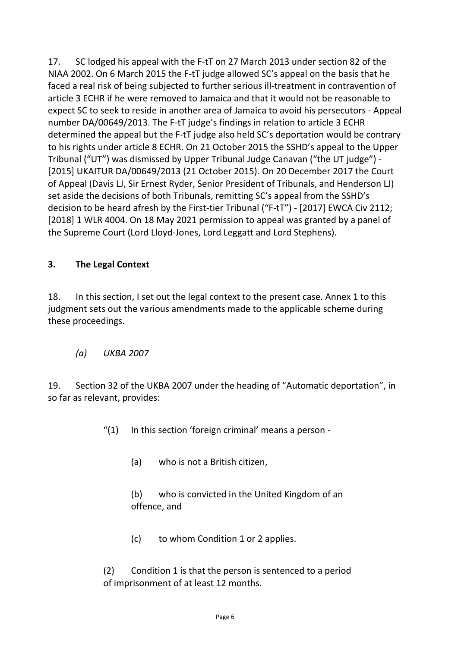17. SC lodged his appeal with the F-tT on 27 March 2013 under section 82 of the NIAA 2002. On 6 March 2015 the F-tT judge allowed SC's appeal on the basis that he faced a real risk of being subjected to further serious ill-treatment in contravention of article 3 ECHR if he were removed to Jamaica and that it would not be reasonable to expect SC to seek to reside in another area of Jamaica to avoid his persecutors - Appeal number DA/00649/2013. The F-tT judge's findings in relation to article 3 ECHR determined the appeal but the F-tT judge also held SC's deportation would be contrary to his rights under article 8 ECHR. On 21 October 2015 the SSHD's appeal to the Upper Tribunal ("UT") was dismissed by Upper Tribunal Judge Canavan ("the UT judge") - [2015] UKAITUR DA/00649/2013 (21 October 2015). On 20 December 2017 the Court of Appeal (Davis LJ, Sir Ernest Ryder, Senior President of Tribunals, and Henderson LJ) set aside the decisions of both Tribunals, remitting SC's appeal from the SSHD's decision to be heard afresh by the First-tier Tribunal ("F-tT") - [2017] EWCA Civ 2112; [2018] 1 WLR 4004. On 18 May 2021 permission to appeal was granted by a panel of the Supreme Court (Lord Lloyd-Jones, Lord Leggatt and Lord Stephens).

#### **3. The Legal Context**

18. In this section, I set out the legal context to the present case. Annex 1 to this judgment sets out the various amendments made to the applicable scheme during these proceedings.

*(a) UKBA 2007*

19. Section 32 of the UKBA 2007 under the heading of "Automatic deportation", in so far as relevant, provides:

- $''(1)$  In this section 'foreign criminal' means a person -
	- (a) who is not a British citizen,

(b) who is convicted in the United Kingdom of an offence, and

(c) to whom Condition 1 or 2 applies.

(2) Condition 1 is that the person is sentenced to a period of imprisonment of at least 12 months.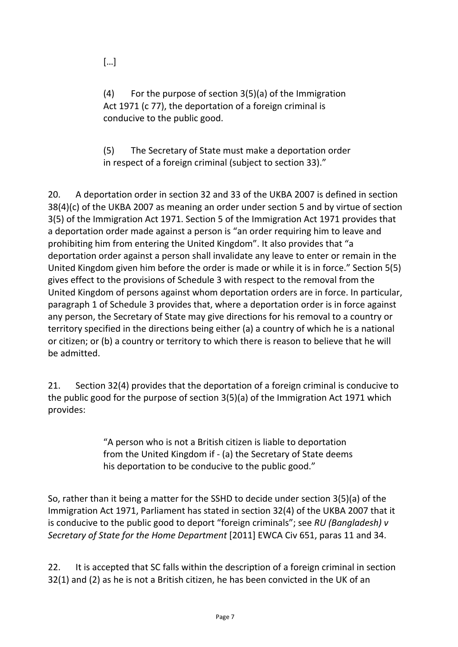(4) For the purpose of section 3(5)(a) of the Immigration Act 1971 (c 77), the deportation of a foreign criminal is conducive to the public good.

(5) The Secretary of State must make a deportation order in respect of a foreign criminal (subject to section 33)."

20. A deportation order in section 32 and 33 of the UKBA 2007 is defined in section 38(4)(c) of the UKBA 2007 as meaning an order under section 5 and by virtue of section 3(5) of the Immigration Act 1971. Section 5 of the Immigration Act 1971 provides that a deportation order made against a person is "an order requiring him to leave and prohibiting him from entering the United Kingdom". It also provides that "a deportation order against a person shall invalidate any leave to enter or remain in the United Kingdom given him before the order is made or while it is in force." Section 5(5) gives effect to the provisions of Schedule 3 with respect to the removal from the United Kingdom of persons against whom deportation orders are in force. In particular, paragraph 1 of Schedule 3 provides that, where a deportation order is in force against any person, the Secretary of State may give directions for his removal to a country or territory specified in the directions being either (a) a country of which he is a national or citizen; or (b) a country or territory to which there is reason to believe that he will be admitted.

21. Section 32(4) provides that the deportation of a foreign criminal is conducive to the public good for the purpose of section 3(5)(a) of the Immigration Act 1971 which provides:

> "A person who is not a British citizen is liable to deportation from the United Kingdom if - (a) the Secretary of State deems his deportation to be conducive to the public good."

So, rather than it being a matter for the SSHD to decide under section 3(5)(a) of the Immigration Act 1971, Parliament has stated in section 32(4) of the UKBA 2007 that it is conducive to the public good to deport "foreign criminals"; see *RU (Bangladesh) v Secretary of State for the Home Department* [2011] EWCA Civ 651, paras 11 and 34.

22. It is accepted that SC falls within the description of a foreign criminal in section 32(1) and (2) as he is not a British citizen, he has been convicted in the UK of an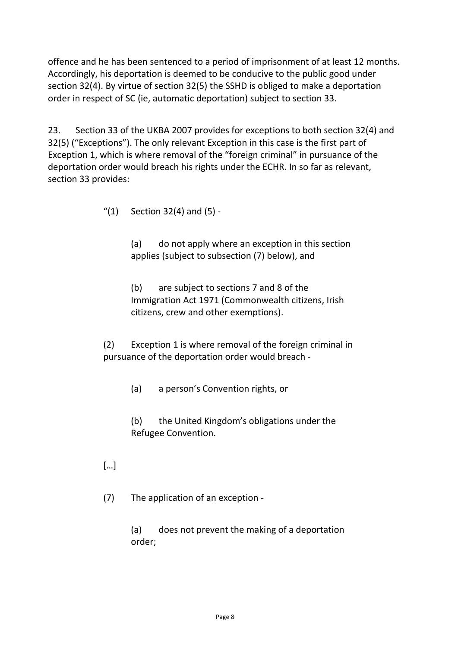offence and he has been sentenced to a period of imprisonment of at least 12 months. Accordingly, his deportation is deemed to be conducive to the public good under section 32(4). By virtue of section 32(5) the SSHD is obliged to make a deportation order in respect of SC (ie, automatic deportation) subject to section 33.

23. Section 33 of the UKBA 2007 provides for exceptions to both section 32(4) and 32(5) ("Exceptions"). The only relevant Exception in this case is the first part of Exception 1, which is where removal of the "foreign criminal" in pursuance of the deportation order would breach his rights under the ECHR. In so far as relevant, section 33 provides:

 $''(1)$  Section 32(4) and (5) -

(a) do not apply where an exception in this section applies (subject to subsection (7) below), and

(b) are subject to sections 7 and 8 of the Immigration Act 1971 (Commonwealth citizens, Irish citizens, crew and other exemptions).

(2) Exception 1 is where removal of the foreign criminal in pursuance of the deportation order would breach -

(a) a person's Convention rights, or

(b) the United Kingdom's obligations under the Refugee Convention.

[…]

(7) The application of an exception -

(a) does not prevent the making of a deportation order;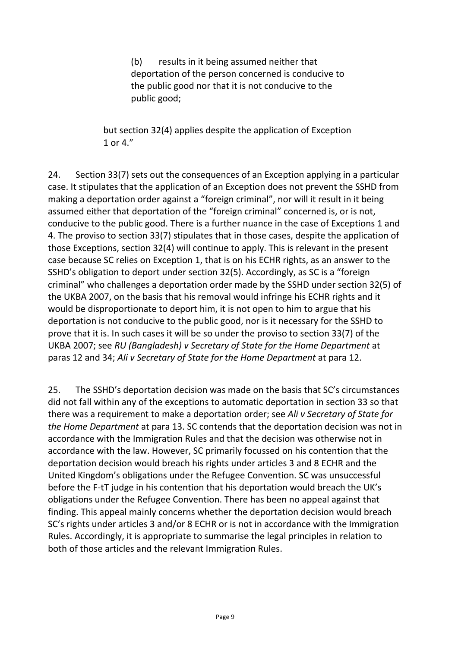(b) results in it being assumed neither that deportation of the person concerned is conducive to the public good nor that it is not conducive to the public good;

but section 32(4) applies despite the application of Exception 1 or 4."

24. Section 33(7) sets out the consequences of an Exception applying in a particular case. It stipulates that the application of an Exception does not prevent the SSHD from making a deportation order against a "foreign criminal", nor will it result in it being assumed either that deportation of the "foreign criminal" concerned is, or is not, conducive to the public good. There is a further nuance in the case of Exceptions 1 and 4. The proviso to section 33(7) stipulates that in those cases, despite the application of those Exceptions, section 32(4) will continue to apply. This is relevant in the present case because SC relies on Exception 1, that is on his ECHR rights, as an answer to the SSHD's obligation to deport under section 32(5). Accordingly, as SC is a "foreign criminal" who challenges a deportation order made by the SSHD under section 32(5) of the UKBA 2007, on the basis that his removal would infringe his ECHR rights and it would be disproportionate to deport him, it is not open to him to argue that his deportation is not conducive to the public good, nor is it necessary for the SSHD to prove that it is. In such cases it will be so under the proviso to section 33(7) of the UKBA 2007; see *RU (Bangladesh) v Secretary of State for the Home Department* at paras 12 and 34; *Ali v Secretary of State for the Home Department* at para 12.

25. The SSHD's deportation decision was made on the basis that SC's circumstances did not fall within any of the exceptions to automatic deportation in section 33 so that there was a requirement to make a deportation order; see *Ali v Secretary of State for the Home Department* at para 13. SC contends that the deportation decision was not in accordance with the Immigration Rules and that the decision was otherwise not in accordance with the law. However, SC primarily focussed on his contention that the deportation decision would breach his rights under articles 3 and 8 ECHR and the United Kingdom's obligations under the Refugee Convention. SC was unsuccessful before the F-tT judge in his contention that his deportation would breach the UK's obligations under the Refugee Convention. There has been no appeal against that finding. This appeal mainly concerns whether the deportation decision would breach SC's rights under articles 3 and/or 8 ECHR or is not in accordance with the Immigration Rules. Accordingly, it is appropriate to summarise the legal principles in relation to both of those articles and the relevant Immigration Rules.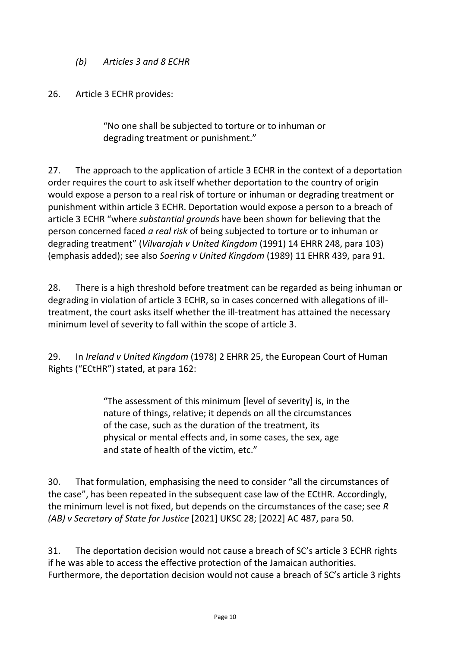*(b) Articles 3 and 8 ECHR*

26. Article 3 ECHR provides:

"No one shall be subjected to torture or to inhuman or degrading treatment or punishment."

27. The approach to the application of article 3 ECHR in the context of a deportation order requires the court to ask itself whether deportation to the country of origin would expose a person to a real risk of torture or inhuman or degrading treatment or punishment within article 3 ECHR. Deportation would expose a person to a breach of article 3 ECHR "where *substantial grounds* have been shown for believing that the person concerned faced *a real risk* of being subjected to torture or to inhuman or degrading treatment" (*Vilvarajah v United Kingdom* (1991) 14 EHRR 248, para 103) (emphasis added); see also *Soering v United Kingdom* (1989) 11 EHRR 439, para 91.

28. There is a high threshold before treatment can be regarded as being inhuman or degrading in violation of article 3 ECHR, so in cases concerned with allegations of illtreatment, the court asks itself whether the ill-treatment has attained the necessary minimum level of severity to fall within the scope of article 3.

29. In *Ireland v United Kingdom* (1978) 2 EHRR 25, the European Court of Human Rights ("ECtHR") stated, at para 162:

> "The assessment of this minimum [level of severity] is, in the nature of things, relative; it depends on all the circumstances of the case, such as the duration of the treatment, its physical or mental effects and, in some cases, the sex, age and state of health of the victim, etc."

30. That formulation, emphasising the need to consider "all the circumstances of the case", has been repeated in the subsequent case law of the ECtHR. Accordingly, the minimum level is not fixed, but depends on the circumstances of the case; see *R (AB) v Secretary of State for Justice* [2021] UKSC 28; [2022] AC 487, para 50.

31. The deportation decision would not cause a breach of SC's article 3 ECHR rights if he was able to access the effective protection of the Jamaican authorities. Furthermore, the deportation decision would not cause a breach of SC's article 3 rights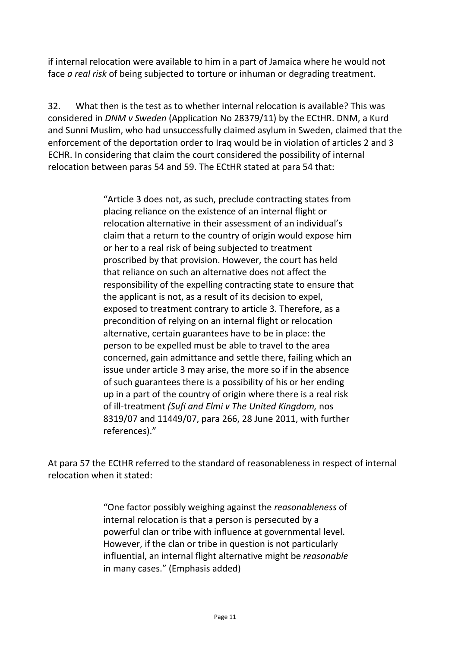if internal relocation were available to him in a part of Jamaica where he would not face *a real risk* of being subjected to torture or inhuman or degrading treatment.

32. What then is the test as to whether internal relocation is available? This was considered in *DNM v Sweden* (Application No 28379/11) by the ECtHR. DNM, a Kurd and Sunni Muslim, who had unsuccessfully claimed asylum in Sweden, claimed that the enforcement of the deportation order to Iraq would be in violation of articles 2 and 3 ECHR. In considering that claim the court considered the possibility of internal relocation between paras 54 and 59. The ECtHR stated at para 54 that:

> "Article 3 does not, as such, preclude contracting states from placing reliance on the existence of an internal flight or relocation alternative in their assessment of an individual's claim that a return to the country of origin would expose him or her to a real risk of being subjected to treatment proscribed by that provision. However, the court has held that reliance on such an alternative does not affect the responsibility of the expelling contracting state to ensure that the applicant is not, as a result of its decision to expel, exposed to treatment contrary to article 3. Therefore, as a precondition of relying on an internal flight or relocation alternative, certain guarantees have to be in place: the person to be expelled must be able to travel to the area concerned, gain admittance and settle there, failing which an issue under article 3 may arise, the more so if in the absence of such guarantees there is a possibility of his or her ending up in a part of the country of origin where there is a real risk of ill-treatment *(Sufi and Elmi v The United Kingdom,* nos 8319/07 and 11449/07, para 266, 28 June 2011, with further references)."

At para 57 the ECtHR referred to the standard of reasonableness in respect of internal relocation when it stated:

> "One factor possibly weighing against the *reasonableness* of internal relocation is that a person is persecuted by a powerful clan or tribe with influence at governmental level. However, if the clan or tribe in question is not particularly influential, an internal flight alternative might be *reasonable* in many cases." (Emphasis added)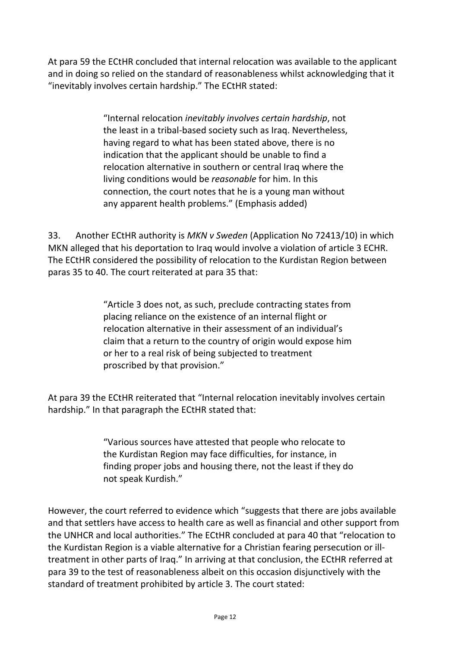At para 59 the ECtHR concluded that internal relocation was available to the applicant and in doing so relied on the standard of reasonableness whilst acknowledging that it "inevitably involves certain hardship." The ECtHR stated:

> "Internal relocation *inevitably involves certain hardship*, not the least in a tribal-based society such as Iraq. Nevertheless, having regard to what has been stated above, there is no indication that the applicant should be unable to find a relocation alternative in southern or central Iraq where the living conditions would be *reasonable* for him. In this connection, the court notes that he is a young man without any apparent health problems." (Emphasis added)

33. Another ECtHR authority is *MKN v Sweden* (Application No 72413/10) in which MKN alleged that his deportation to Iraq would involve a violation of article 3 ECHR. The ECtHR considered the possibility of relocation to the Kurdistan Region between paras 35 to 40. The court reiterated at para 35 that:

> "Article 3 does not, as such, preclude contracting states from placing reliance on the existence of an internal flight or relocation alternative in their assessment of an individual's claim that a return to the country of origin would expose him or her to a real risk of being subjected to treatment proscribed by that provision."

At para 39 the ECtHR reiterated that "Internal relocation inevitably involves certain hardship." In that paragraph the ECtHR stated that:

> "Various sources have attested that people who relocate to the Kurdistan Region may face difficulties, for instance, in finding proper jobs and housing there, not the least if they do not speak Kurdish."

However, the court referred to evidence which "suggests that there are jobs available and that settlers have access to health care as well as financial and other support from the UNHCR and local authorities." The ECtHR concluded at para 40 that "relocation to the Kurdistan Region is a viable alternative for a Christian fearing persecution or illtreatment in other parts of Iraq." In arriving at that conclusion, the ECtHR referred at para 39 to the test of reasonableness albeit on this occasion disjunctively with the standard of treatment prohibited by article 3. The court stated: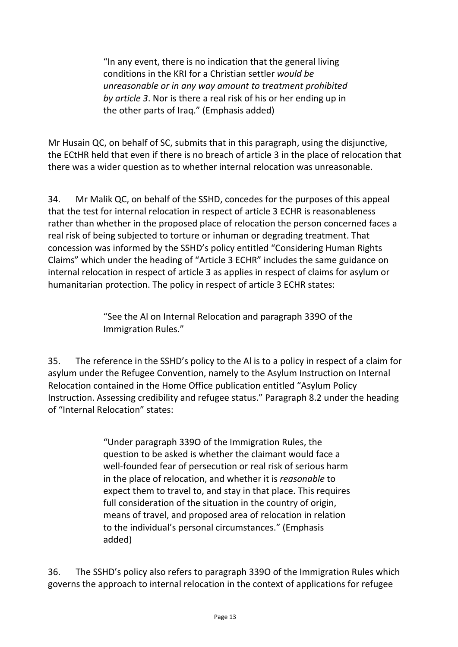"In any event, there is no indication that the general living conditions in the KRI for a Christian settler *would be unreasonable or in any way amount to treatment prohibited by article 3*. Nor is there a real risk of his or her ending up in the other parts of Iraq." (Emphasis added)

Mr Husain QC, on behalf of SC, submits that in this paragraph, using the disjunctive, the ECtHR held that even if there is no breach of article 3 in the place of relocation that there was a wider question as to whether internal relocation was unreasonable.

34. Mr Malik QC, on behalf of the SSHD, concedes for the purposes of this appeal that the test for internal relocation in respect of article 3 ECHR is reasonableness rather than whether in the proposed place of relocation the person concerned faces a real risk of being subjected to torture or inhuman or degrading treatment. That concession was informed by the SSHD's policy entitled "Considering Human Rights Claims" which under the heading of "Article 3 ECHR" includes the same guidance on internal relocation in respect of article 3 as applies in respect of claims for asylum or humanitarian protection. The policy in respect of article 3 ECHR states:

> "See the Al on Internal Relocation and paragraph 339O of the Immigration Rules."

35. The reference in the SSHD's policy to the Al is to a policy in respect of a claim for asylum under the Refugee Convention, namely to the Asylum Instruction on Internal Relocation contained in the Home Office publication entitled "Asylum Policy Instruction. Assessing credibility and refugee status." Paragraph 8.2 under the heading of "Internal Relocation" states:

> "Under paragraph 339O of the Immigration Rules, the question to be asked is whether the claimant would face a well-founded fear of persecution or real risk of serious harm in the place of relocation, and whether it is *reasonable* to expect them to travel to, and stay in that place. This requires full consideration of the situation in the country of origin, means of travel, and proposed area of relocation in relation to the individual's personal circumstances." (Emphasis added)

36. The SSHD's policy also refers to paragraph 339O of the Immigration Rules which governs the approach to internal relocation in the context of applications for refugee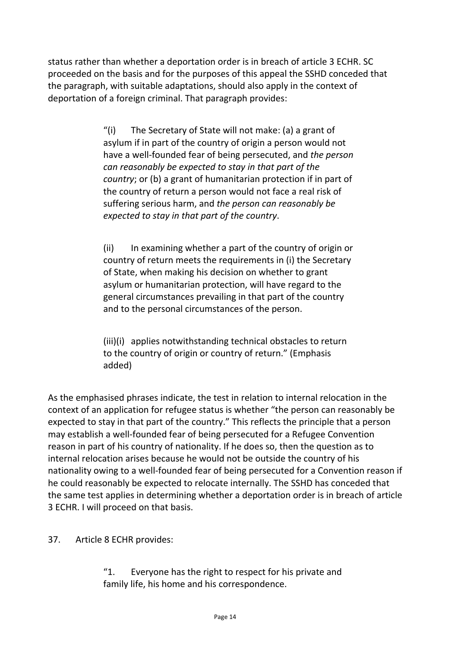status rather than whether a deportation order is in breach of article 3 ECHR. SC proceeded on the basis and for the purposes of this appeal the SSHD conceded that the paragraph, with suitable adaptations, should also apply in the context of deportation of a foreign criminal. That paragraph provides:

> "(i) The Secretary of State will not make: (a) a grant of asylum if in part of the country of origin a person would not have a well-founded fear of being persecuted, and *the person can reasonably be expected to stay in that part of the country*; or (b) a grant of humanitarian protection if in part of the country of return a person would not face a real risk of suffering serious harm, and *the person can reasonably be expected to stay in that part of the country*.

> (ii) In examining whether a part of the country of origin or country of return meets the requirements in (i) the Secretary of State, when making his decision on whether to grant asylum or humanitarian protection, will have regard to the general circumstances prevailing in that part of the country and to the personal circumstances of the person.

(iii)(i) applies notwithstanding technical obstacles to return to the country of origin or country of return." (Emphasis added)

As the emphasised phrases indicate, the test in relation to internal relocation in the context of an application for refugee status is whether "the person can reasonably be expected to stay in that part of the country." This reflects the principle that a person may establish a well-founded fear of being persecuted for a Refugee Convention reason in part of his country of nationality. If he does so, then the question as to internal relocation arises because he would not be outside the country of his nationality owing to a well-founded fear of being persecuted for a Convention reason if he could reasonably be expected to relocate internally. The SSHD has conceded that the same test applies in determining whether a deportation order is in breach of article 3 ECHR. I will proceed on that basis.

37. Article 8 ECHR provides:

"1. Everyone has the right to respect for his private and family life, his home and his correspondence.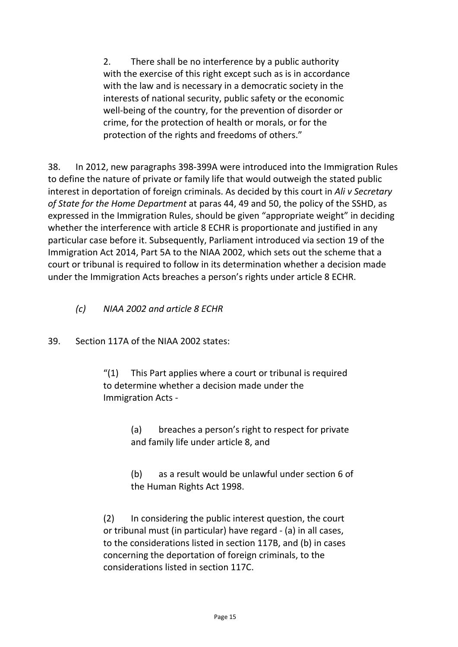2. There shall be no interference by a public authority with the exercise of this right except such as is in accordance with the law and is necessary in a democratic society in the interests of national security, public safety or the economic well-being of the country, for the prevention of disorder or crime, for the protection of health or morals, or for the protection of the rights and freedoms of others."

38. In 2012, new paragraphs 398-399A were introduced into the Immigration Rules to define the nature of private or family life that would outweigh the stated public interest in deportation of foreign criminals. As decided by this court in *Ali v Secretary of State for the Home Department* at paras 44, 49 and 50, the policy of the SSHD, as expressed in the Immigration Rules, should be given "appropriate weight" in deciding whether the interference with article 8 ECHR is proportionate and justified in any particular case before it. Subsequently, Parliament introduced via section 19 of the Immigration Act 2014, Part 5A to the NIAA 2002, which sets out the scheme that a court or tribunal is required to follow in its determination whether a decision made under the Immigration Acts breaches a person's rights under article 8 ECHR.

- *(c) NIAA 2002 and article 8 ECHR*
- 39. Section 117A of the NIAA 2002 states:

"(1) This Part applies where a court or tribunal is required to determine whether a decision made under the Immigration Acts -

> (a) breaches a person's right to respect for private and family life under article 8, and

(b) as a result would be unlawful under section 6 of the Human Rights Act 1998.

(2) In considering the public interest question, the court or tribunal must (in particular) have regard - (a) in all cases, to the considerations listed in section 117B, and (b) in cases concerning the deportation of foreign criminals, to the considerations listed in section 117C.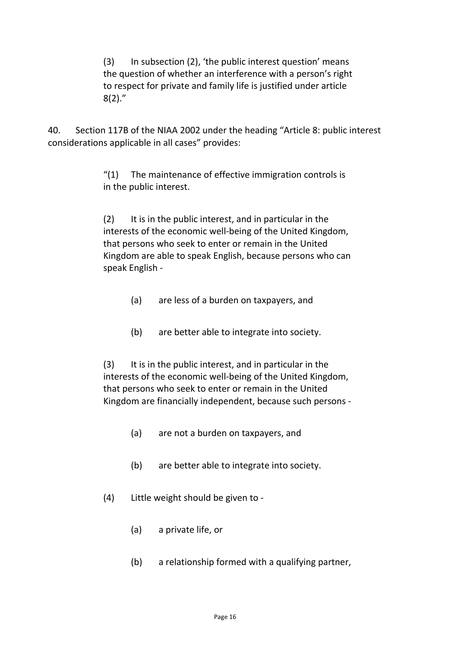(3) In subsection (2), 'the public interest question' means the question of whether an interference with a person's right to respect for private and family life is justified under article 8(2)."

40. Section 117B of the NIAA 2002 under the heading "Article 8: public interest considerations applicable in all cases" provides:

> "(1) The maintenance of effective immigration controls is in the public interest.

(2) It is in the public interest, and in particular in the interests of the economic well-being of the United Kingdom, that persons who seek to enter or remain in the United Kingdom are able to speak English, because persons who can speak English -

- (a) are less of a burden on taxpayers, and
- (b) are better able to integrate into society.

(3) It is in the public interest, and in particular in the interests of the economic well-being of the United Kingdom, that persons who seek to enter or remain in the United Kingdom are financially independent, because such persons -

- (a) are not a burden on taxpayers, and
- (b) are better able to integrate into society.
- (4) Little weight should be given to
	- (a) a private life, or
	- (b) a relationship formed with a qualifying partner,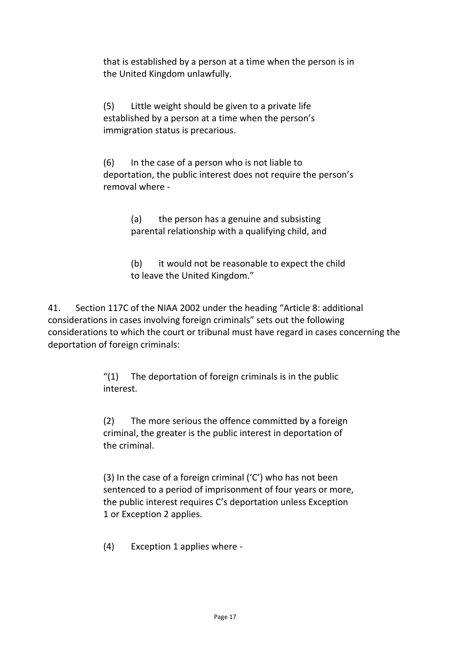that is established by a person at a time when the person is in the United Kingdom unlawfully.

(5) Little weight should be given to a private life established by a person at a time when the person's immigration status is precarious.

(6) In the case of a person who is not liable to deportation, the public interest does not require the person's removal where -

> (a) the person has a genuine and subsisting parental relationship with a qualifying child, and

(b) it would not be reasonable to expect the child to leave the United Kingdom."

41. Section 117C of the NIAA 2002 under the heading "Article 8: additional considerations in cases involving foreign criminals" sets out the following considerations to which the court or tribunal must have regard in cases concerning the deportation of foreign criminals:

> $''(1)$  The deportation of foreign criminals is in the public interest.

(2) The more serious the offence committed by a foreign criminal, the greater is the public interest in deportation of the criminal.

(3) In the case of a foreign criminal ('C') who has not been sentenced to a period of imprisonment of four years or more, the public interest requires C's deportation unless Exception 1 or Exception 2 applies.

(4) Exception 1 applies where -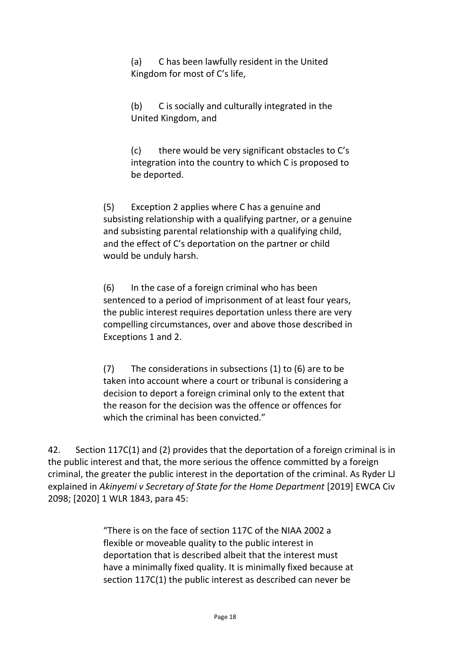(a) C has been lawfully resident in the United Kingdom for most of C's life,

(b) C is socially and culturally integrated in the United Kingdom, and

(c) there would be very significant obstacles to C's integration into the country to which C is proposed to be deported.

(5) Exception 2 applies where C has a genuine and subsisting relationship with a qualifying partner, or a genuine and subsisting parental relationship with a qualifying child, and the effect of C's deportation on the partner or child would be unduly harsh.

(6) In the case of a foreign criminal who has been sentenced to a period of imprisonment of at least four years, the public interest requires deportation unless there are very compelling circumstances, over and above those described in Exceptions 1 and 2.

(7) The considerations in subsections (1) to (6) are to be taken into account where a court or tribunal is considering a decision to deport a foreign criminal only to the extent that the reason for the decision was the offence or offences for which the criminal has been convicted."

42. Section 117C(1) and (2) provides that the deportation of a foreign criminal is in the public interest and that, the more serious the offence committed by a foreign criminal, the greater the public interest in the deportation of the criminal. As Ryder LJ explained in *Akinyemi v Secretary of State for the Home Department* [2019] EWCA Civ 2098; [2020] 1 WLR 1843, para 45:

> "There is on the face of section 117C of the NIAA 2002 a flexible or moveable quality to the public interest in deportation that is described albeit that the interest must have a minimally fixed quality. It is minimally fixed because at section 117C(1) the public interest as described can never be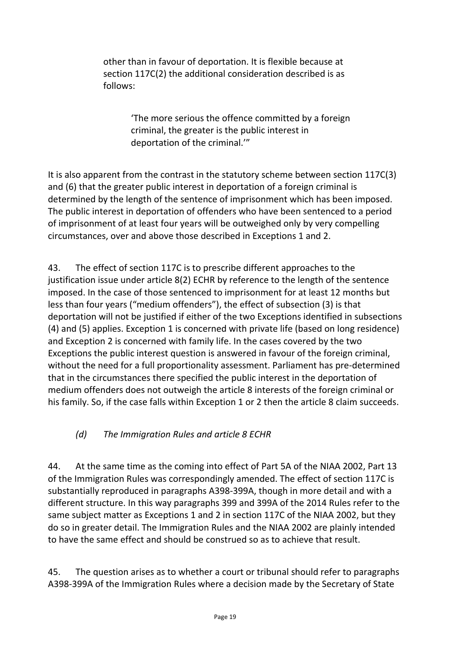other than in favour of deportation. It is flexible because at section 117C(2) the additional consideration described is as follows:

> 'The more serious the offence committed by a foreign criminal, the greater is the public interest in deportation of the criminal.'"

It is also apparent from the contrast in the statutory scheme between section 117C(3) and (6) that the greater public interest in deportation of a foreign criminal is determined by the length of the sentence of imprisonment which has been imposed. The public interest in deportation of offenders who have been sentenced to a period of imprisonment of at least four years will be outweighed only by very compelling circumstances, over and above those described in Exceptions 1 and 2.

43. The effect of section 117C is to prescribe different approaches to the justification issue under article 8(2) ECHR by reference to the length of the sentence imposed. In the case of those sentenced to imprisonment for at least 12 months but less than four years ("medium offenders"), the effect of subsection (3) is that deportation will not be justified if either of the two Exceptions identified in subsections (4) and (5) applies. Exception 1 is concerned with private life (based on long residence) and Exception 2 is concerned with family life. In the cases covered by the two Exceptions the public interest question is answered in favour of the foreign criminal, without the need for a full proportionality assessment. Parliament has pre-determined that in the circumstances there specified the public interest in the deportation of medium offenders does not outweigh the article 8 interests of the foreign criminal or his family. So, if the case falls within Exception 1 or 2 then the article 8 claim succeeds.

#### *(d) The Immigration Rules and article 8 ECHR*

44. At the same time as the coming into effect of Part 5A of the NIAA 2002, Part 13 of the Immigration Rules was correspondingly amended. The effect of section 117C is substantially reproduced in paragraphs A398-399A, though in more detail and with a different structure. In this way paragraphs 399 and 399A of the 2014 Rules refer to the same subject matter as Exceptions 1 and 2 in section 117C of the NIAA 2002, but they do so in greater detail. The Immigration Rules and the NIAA 2002 are plainly intended to have the same effect and should be construed so as to achieve that result.

45. The question arises as to whether a court or tribunal should refer to paragraphs A398-399A of the Immigration Rules where a decision made by the Secretary of State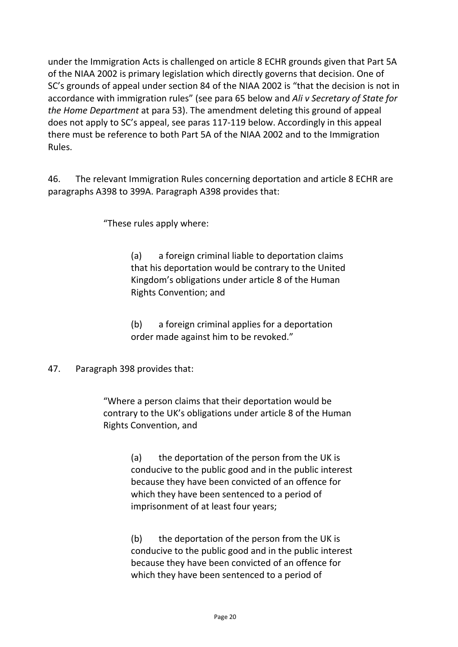under the Immigration Acts is challenged on article 8 ECHR grounds given that Part 5A of the NIAA 2002 is primary legislation which directly governs that decision. One of SC's grounds of appeal under section 84 of the NIAA 2002 is "that the decision is not in accordance with immigration rules" (see para 65 below and *Ali v Secretary of State for the Home Department* at para 53). The amendment deleting this ground of appeal does not apply to SC's appeal, see paras 117-119 below. Accordingly in this appeal there must be reference to both Part 5A of the NIAA 2002 and to the Immigration Rules.

46. The relevant Immigration Rules concerning deportation and article 8 ECHR are paragraphs A398 to 399A. Paragraph A398 provides that:

"These rules apply where:

(a) a foreign criminal liable to deportation claims that his deportation would be contrary to the United Kingdom's obligations under article 8 of the Human Rights Convention; and

(b) a foreign criminal applies for a deportation order made against him to be revoked."

47. Paragraph 398 provides that:

"Where a person claims that their deportation would be contrary to the UK's obligations under article 8 of the Human Rights Convention, and

> (a) the deportation of the person from the UK is conducive to the public good and in the public interest because they have been convicted of an offence for which they have been sentenced to a period of imprisonment of at least four years;

> (b) the deportation of the person from the UK is conducive to the public good and in the public interest because they have been convicted of an offence for which they have been sentenced to a period of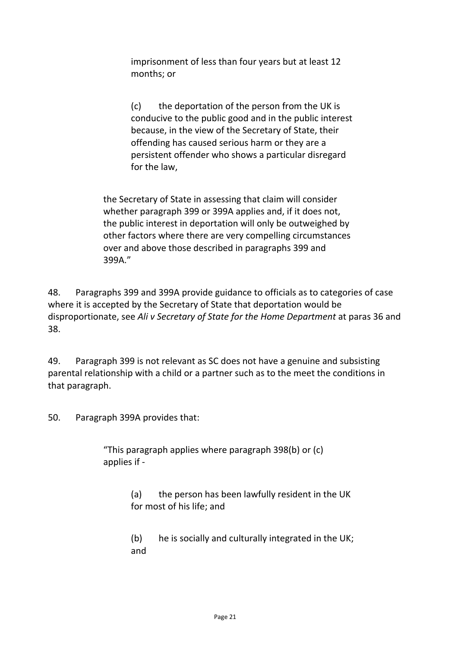imprisonment of less than four years but at least 12 months; or

(c) the deportation of the person from the UK is conducive to the public good and in the public interest because, in the view of the Secretary of State, their offending has caused serious harm or they are a persistent offender who shows a particular disregard for the law,

the Secretary of State in assessing that claim will consider whether paragraph 399 or 399A applies and, if it does not, the public interest in deportation will only be outweighed by other factors where there are very compelling circumstances over and above those described in paragraphs 399 and 399A."

48. Paragraphs 399 and 399A provide guidance to officials as to categories of case where it is accepted by the Secretary of State that deportation would be disproportionate, see *Ali v Secretary of State for the Home Department* at paras 36 and 38.

49. Paragraph 399 is not relevant as SC does not have a genuine and subsisting parental relationship with a child or a partner such as to the meet the conditions in that paragraph.

50. Paragraph 399A provides that:

"This paragraph applies where paragraph 398(b) or (c) applies if -

> (a) the person has been lawfully resident in the UK for most of his life; and

(b) he is socially and culturally integrated in the UK; and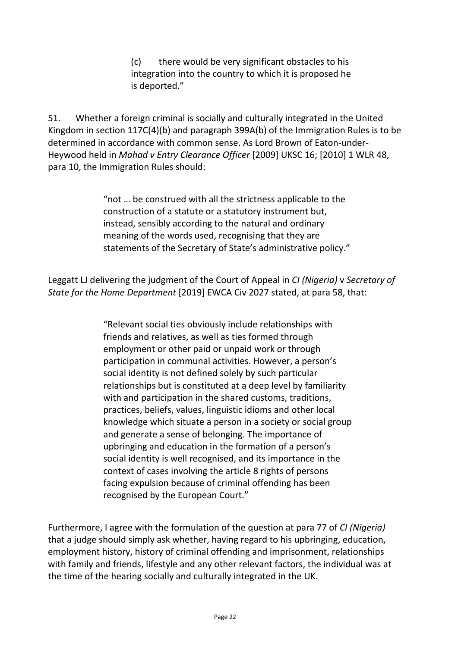(c) there would be very significant obstacles to his integration into the country to which it is proposed he is deported."

51. Whether a foreign criminal is socially and culturally integrated in the United Kingdom in section 117C(4)(b) and paragraph 399A(b) of the Immigration Rules is to be determined in accordance with common sense. As Lord Brown of Eaton-under-Heywood held in *Mahad v Entry Clearance Officer* [2009] UKSC 16; [2010] 1 WLR 48, para 10, the Immigration Rules should:

> "not … be construed with all the strictness applicable to the construction of a statute or a statutory instrument but, instead, sensibly according to the natural and ordinary meaning of the words used, recognising that they are statements of the Secretary of State's administrative policy."

Leggatt LJ delivering the judgment of the Court of Appeal in *CI (Nigeria)* v *Secretary of State for the Home Department* [2019] EWCA Civ 2027 stated, at para 58, that:

> "Relevant social ties obviously include relationships with friends and relatives, as well as ties formed through employment or other paid or unpaid work or through participation in communal activities. However, a person's social identity is not defined solely by such particular relationships but is constituted at a deep level by familiarity with and participation in the shared customs, traditions, practices, beliefs, values, linguistic idioms and other local knowledge which situate a person in a society or social group and generate a sense of belonging. The importance of upbringing and education in the formation of a person's social identity is well recognised, and its importance in the context of cases involving the article 8 rights of persons facing expulsion because of criminal offending has been recognised by the European Court."

Furthermore, I agree with the formulation of the question at para 77 of *CI (Nigeria)* that a judge should simply ask whether, having regard to his upbringing, education, employment history, history of criminal offending and imprisonment, relationships with family and friends, lifestyle and any other relevant factors, the individual was at the time of the hearing socially and culturally integrated in the UK.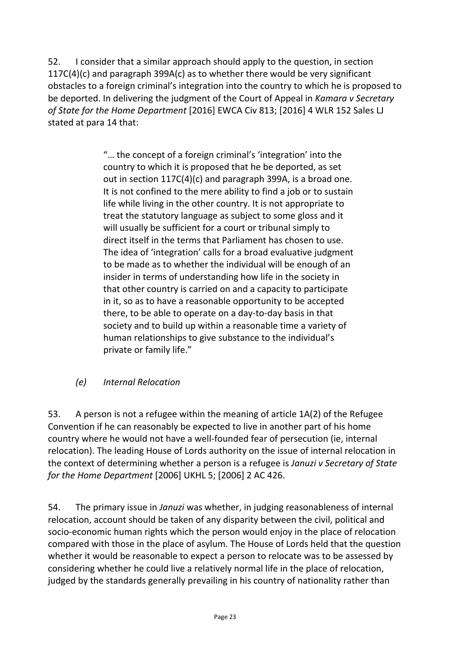52. I consider that a similar approach should apply to the question, in section 117C(4)(c) and paragraph 399A(c) as to whether there would be very significant obstacles to a foreign criminal's integration into the country to which he is proposed to be deported. In delivering the judgment of the Court of Appeal in *Kamara v Secretary of State for the Home Department* [2016] EWCA Civ 813; [2016] 4 WLR 152 Sales LJ stated at para 14 that:

> "… the concept of a foreign criminal's 'integration' into the country to which it is proposed that he be deported, as set out in section 117C(4)(c) and paragraph 399A, is a broad one. It is not confined to the mere ability to find a job or to sustain life while living in the other country. It is not appropriate to treat the statutory language as subject to some gloss and it will usually be sufficient for a court or tribunal simply to direct itself in the terms that Parliament has chosen to use. The idea of 'integration' calls for a broad evaluative judgment to be made as to whether the individual will be enough of an insider in terms of understanding how life in the society in that other country is carried on and a capacity to participate in it, so as to have a reasonable opportunity to be accepted there, to be able to operate on a day-to-day basis in that society and to build up within a reasonable time a variety of human relationships to give substance to the individual's private or family life."

*(e) Internal Relocation*

53. A person is not a refugee within the meaning of article 1A(2) of the Refugee Convention if he can reasonably be expected to live in another part of his home country where he would not have a well-founded fear of persecution (ie, internal relocation). The leading House of Lords authority on the issue of internal relocation in the context of determining whether a person is a refugee is *Januzi v Secretary of State for the Home Department* [2006] UKHL 5; [2006] 2 AC 426.

54. The primary issue in *Januzi* was whether, in judging reasonableness of internal relocation, account should be taken of any disparity between the civil, political and socio-economic human rights which the person would enjoy in the place of relocation compared with those in the place of asylum. The House of Lords held that the question whether it would be reasonable to expect a person to relocate was to be assessed by considering whether he could live a relatively normal life in the place of relocation, judged by the standards generally prevailing in his country of nationality rather than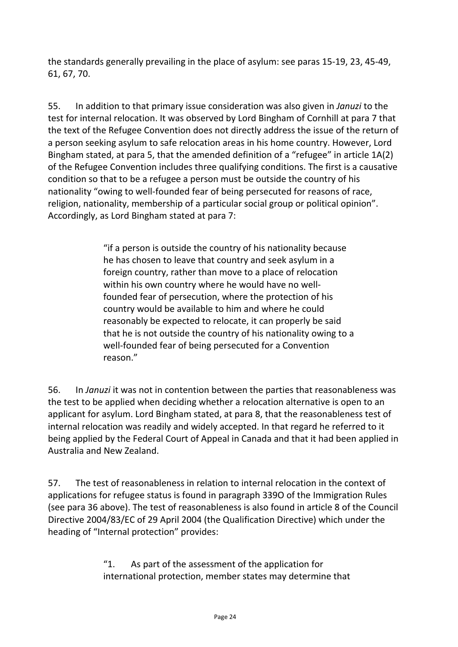the standards generally prevailing in the place of asylum: see paras 15-19, 23, 45-49, 61, 67, 70.

55. In addition to that primary issue consideration was also given in *Januzi* to the test for internal relocation. It was observed by Lord Bingham of Cornhill at para 7 that the text of the Refugee Convention does not directly address the issue of the return of a person seeking asylum to safe relocation areas in his home country. However, Lord Bingham stated, at para 5, that the amended definition of a "refugee" in article 1A(2) of the Refugee Convention includes three qualifying conditions. The first is a causative condition so that to be a refugee a person must be outside the country of his nationality "owing to well-founded fear of being persecuted for reasons of race, religion, nationality, membership of a particular social group or political opinion". Accordingly, as Lord Bingham stated at para 7:

> "if a person is outside the country of his nationality because he has chosen to leave that country and seek asylum in a foreign country, rather than move to a place of relocation within his own country where he would have no wellfounded fear of persecution, where the protection of his country would be available to him and where he could reasonably be expected to relocate, it can properly be said that he is not outside the country of his nationality owing to a well-founded fear of being persecuted for a Convention reason."

56. In *Januzi* it was not in contention between the parties that reasonableness was the test to be applied when deciding whether a relocation alternative is open to an applicant for asylum. Lord Bingham stated, at para 8, that the reasonableness test of internal relocation was readily and widely accepted. In that regard he referred to it being applied by the Federal Court of Appeal in Canada and that it had been applied in Australia and New Zealand.

57. The test of reasonableness in relation to internal relocation in the context of applications for refugee status is found in paragraph 339O of the Immigration Rules (see para 36 above). The test of reasonableness is also found in article 8 of the Council Directive 2004/83/EC of 29 April 2004 (the Qualification Directive) which under the heading of "Internal protection" provides:

> "1. As part of the assessment of the application for international protection, member states may determine that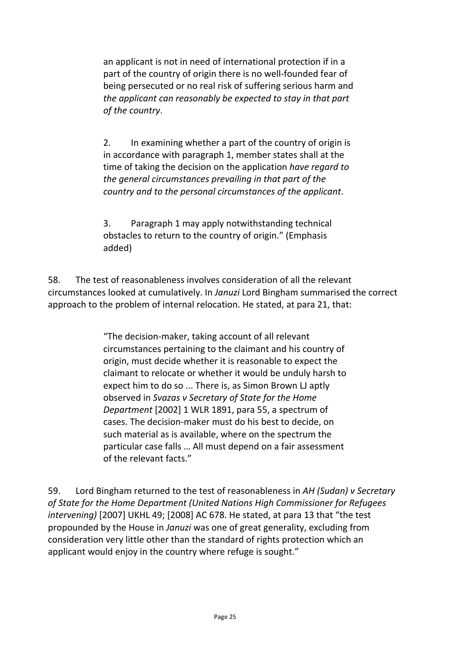an applicant is not in need of international protection if in a part of the country of origin there is no well-founded fear of being persecuted or no real risk of suffering serious harm and *the applicant can reasonably be expected to stay in that part of the country*.

2. In examining whether a part of the country of origin is in accordance with paragraph 1, member states shall at the time of taking the decision on the application *have regard to the general circumstances prevailing in that part of the country and to the personal circumstances of the applicant*.

3. Paragraph 1 may apply notwithstanding technical obstacles to return to the country of origin." (Emphasis added)

58. The test of reasonableness involves consideration of all the relevant circumstances looked at cumulatively. In *Januzi* Lord Bingham summarised the correct approach to the problem of internal relocation. He stated, at para 21, that:

> "The decision-maker, taking account of all relevant circumstances pertaining to the claimant and his country of origin, must decide whether it is reasonable to expect the claimant to relocate or whether it would be unduly harsh to expect him to do so ... There is, as Simon Brown LJ aptly observed in *Svazas v Secretary of State for the Home Department* [2002] 1 WLR 1891, para 55, a spectrum of cases. The decision-maker must do his best to decide, on such material as is available, where on the spectrum the particular case falls … All must depend on a fair assessment of the relevant facts."

59. Lord Bingham returned to the test of reasonableness in *AH (Sudan) v Secretary of State for the Home Department (United Nations High Commissioner for Refugees intervening)* [2007] UKHL 49; [2008] AC 678. He stated, at para 13 that "the test propounded by the House in *Januzi* was one of great generality, excluding from consideration very little other than the standard of rights protection which an applicant would enjoy in the country where refuge is sought."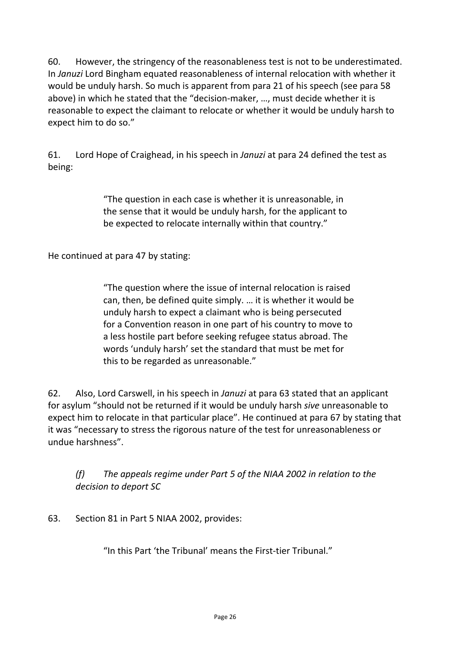60. However, the stringency of the reasonableness test is not to be underestimated. In *Januzi* Lord Bingham equated reasonableness of internal relocation with whether it would be unduly harsh. So much is apparent from para 21 of his speech (see para 58 above) in which he stated that the "decision-maker, …, must decide whether it is reasonable to expect the claimant to relocate or whether it would be unduly harsh to expect him to do so."

61. Lord Hope of Craighead, in his speech in *Januzi* at para 24 defined the test as being:

> "The question in each case is whether it is unreasonable, in the sense that it would be unduly harsh, for the applicant to be expected to relocate internally within that country."

He continued at para 47 by stating:

"The question where the issue of internal relocation is raised can, then, be defined quite simply. … it is whether it would be unduly harsh to expect a claimant who is being persecuted for a Convention reason in one part of his country to move to a less hostile part before seeking refugee status abroad. The words 'unduly harsh' set the standard that must be met for this to be regarded as unreasonable."

62. Also, Lord Carswell, in his speech in *Januzi* at para 63 stated that an applicant for asylum "should not be returned if it would be unduly harsh *sive* unreasonable to expect him to relocate in that particular place". He continued at para 67 by stating that it was "necessary to stress the rigorous nature of the test for unreasonableness or undue harshness".

*(f) The appeals regime under Part 5 of the NIAA 2002 in relation to the decision to deport SC*

63. Section 81 in Part 5 NIAA 2002, provides:

"In this Part 'the Tribunal' means the First-tier Tribunal."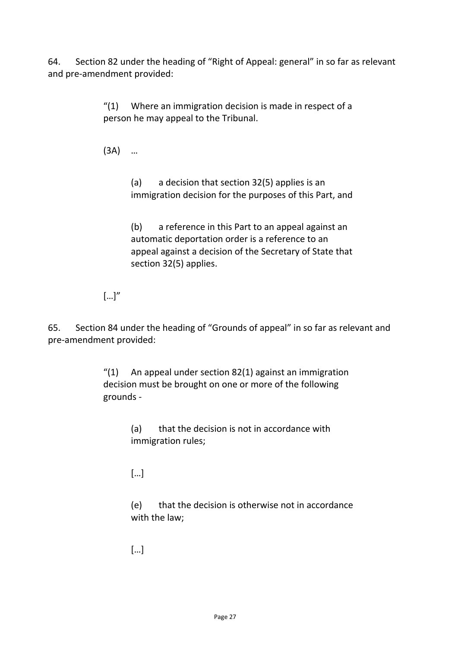64. Section 82 under the heading of "Right of Appeal: general" in so far as relevant and pre-amendment provided:

> "(1) Where an immigration decision is made in respect of a person he may appeal to the Tribunal.

(3A) …

(a) a decision that section 32(5) applies is an immigration decision for the purposes of this Part, and

(b) a reference in this Part to an appeal against an automatic deportation order is a reference to an appeal against a decision of the Secretary of State that section 32(5) applies.

 $\left[\ldots\right]''$ 

65. Section 84 under the heading of "Grounds of appeal" in so far as relevant and pre-amendment provided:

> $''(1)$  An appeal under section 82(1) against an immigration decision must be brought on one or more of the following grounds -

> > (a) that the decision is not in accordance with immigration rules;

[…]

(e) that the decision is otherwise not in accordance with the law;

[…]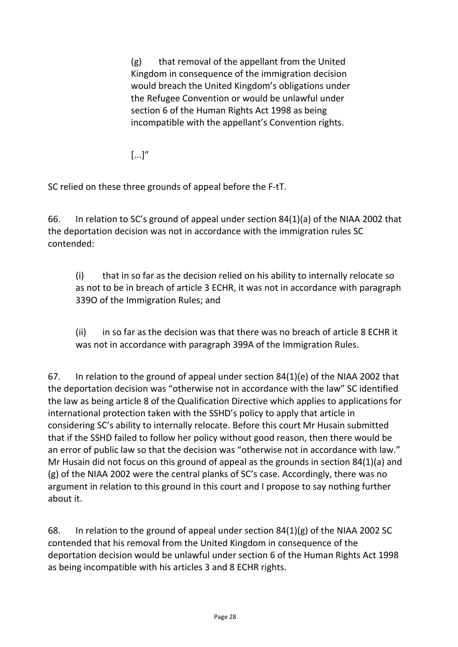(g) that removal of the appellant from the United Kingdom in consequence of the immigration decision would breach the United Kingdom's obligations under the Refugee Convention or would be unlawful under section 6 of the Human Rights Act 1998 as being incompatible with the appellant's Convention rights.

 $[...]''$ 

SC relied on these three grounds of appeal before the F-tT.

66. In relation to SC's ground of appeal under section 84(1)(a) of the NIAA 2002 that the deportation decision was not in accordance with the immigration rules SC contended:

(i) that in so far as the decision relied on his ability to internally relocate so as not to be in breach of article 3 ECHR, it was not in accordance with paragraph 339O of the Immigration Rules; and

(ii) in so far as the decision was that there was no breach of article 8 ECHR it was not in accordance with paragraph 399A of the Immigration Rules.

67. In relation to the ground of appeal under section 84(1)(e) of the NIAA 2002 that the deportation decision was "otherwise not in accordance with the law" SC identified the law as being article 8 of the Qualification Directive which applies to applications for international protection taken with the SSHD's policy to apply that article in considering SC's ability to internally relocate. Before this court Mr Husain submitted that if the SSHD failed to follow her policy without good reason, then there would be an error of public law so that the decision was "otherwise not in accordance with law." Mr Husain did not focus on this ground of appeal as the grounds in section 84(1)(a) and (g) of the NIAA 2002 were the central planks of SC's case. Accordingly, there was no argument in relation to this ground in this court and I propose to say nothing further about it.

68. In relation to the ground of appeal under section 84(1)(g) of the NIAA 2002 SC contended that his removal from the United Kingdom in consequence of the deportation decision would be unlawful under section 6 of the Human Rights Act 1998 as being incompatible with his articles 3 and 8 ECHR rights.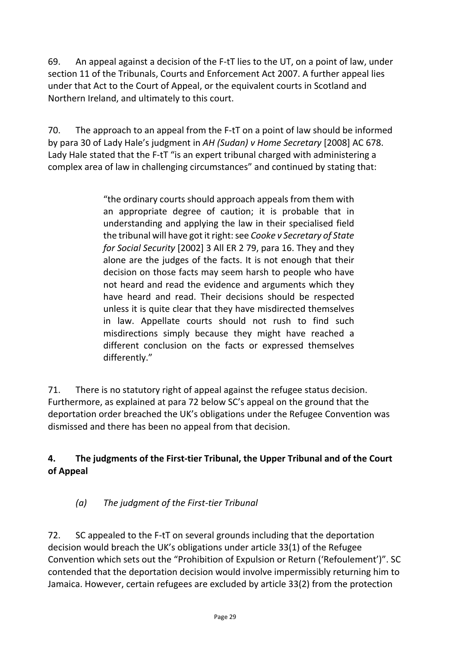69. An appeal against a decision of the F-tT lies to the UT, on a point of law, under section 11 of the Tribunals, Courts and Enforcement Act 2007. A further appeal lies under that Act to the Court of Appeal, or the equivalent courts in Scotland and Northern Ireland, and ultimately to this court.

70. The approach to an appeal from the F-tT on a point of law should be informed by para 30 of Lady Hale's judgment in *AH (Sudan) v Home Secretary* [2008] AC 678. Lady Hale stated that the F-tT "is an expert tribunal charged with administering a complex area of law in challenging circumstances" and continued by stating that:

> "the ordinary courts should approach appeals from them with an appropriate degree of caution; it is probable that in understanding and applying the law in their specialised field the tribunal will have got it right: see *Cooke v Secretary of State for Social Security* [2002] 3 All ER 2 79, para 16. They and they alone are the judges of the facts. It is not enough that their decision on those facts may seem harsh to people who have not heard and read the evidence and arguments which they have heard and read. Their decisions should be respected unless it is quite clear that they have misdirected themselves in law. Appellate courts should not rush to find such misdirections simply because they might have reached a different conclusion on the facts or expressed themselves differently."

71. There is no statutory right of appeal against the refugee status decision. Furthermore, as explained at para 72 below SC's appeal on the ground that the deportation order breached the UK's obligations under the Refugee Convention was dismissed and there has been no appeal from that decision.

#### **4. The judgments of the First-tier Tribunal, the Upper Tribunal and of the Court of Appeal**

# *(a) The judgment of the First-tier Tribunal*

72. SC appealed to the F-tT on several grounds including that the deportation decision would breach the UK's obligations under article 33(1) of the Refugee Convention which sets out the "Prohibition of Expulsion or Return ('Refoulement')". SC contended that the deportation decision would involve impermissibly returning him to Jamaica. However, certain refugees are excluded by article 33(2) from the protection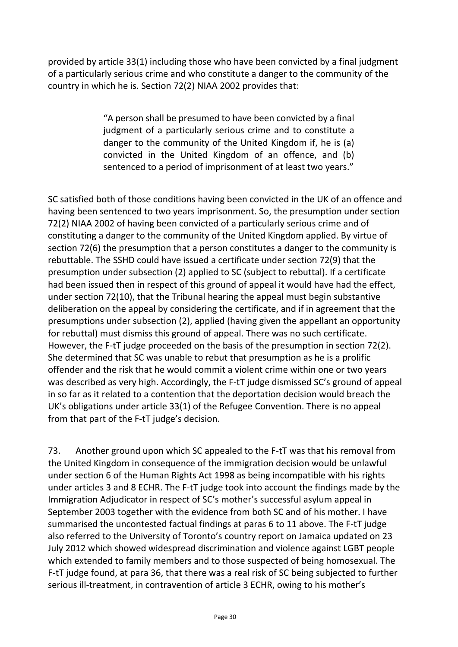provided by article 33(1) including those who have been convicted by a final judgment of a particularly serious crime and who constitute a danger to the community of the country in which he is. Section 72(2) NIAA 2002 provides that:

> "A person shall be presumed to have been convicted by a final judgment of a particularly serious crime and to constitute a danger to the community of the United Kingdom if, he is (a) convicted in the United Kingdom of an offence, and (b) sentenced to a period of imprisonment of at least two years."

SC satisfied both of those conditions having been convicted in the UK of an offence and having been sentenced to two years imprisonment. So, the presumption under section 72(2) NIAA 2002 of having been convicted of a particularly serious crime and of constituting a danger to the community of the United Kingdom applied. By virtue of section 72(6) the presumption that a person constitutes a danger to the community is rebuttable. The SSHD could have issued a certificate under section 72(9) that the presumption under subsection (2) applied to SC (subject to rebuttal). If a certificate had been issued then in respect of this ground of appeal it would have had the effect, under section 72(10), that the Tribunal hearing the appeal must begin substantive deliberation on the appeal by considering the certificate, and if in agreement that the presumptions under subsection (2), applied (having given the appellant an opportunity for rebuttal) must dismiss this ground of appeal. There was no such certificate. However, the F-tT judge proceeded on the basis of the presumption in section 72(2). She determined that SC was unable to rebut that presumption as he is a prolific offender and the risk that he would commit a violent crime within one or two years was described as very high. Accordingly, the F-tT judge dismissed SC's ground of appeal in so far as it related to a contention that the deportation decision would breach the UK's obligations under article 33(1) of the Refugee Convention. There is no appeal from that part of the F-tT judge's decision.

73. Another ground upon which SC appealed to the F-tT was that his removal from the United Kingdom in consequence of the immigration decision would be unlawful under section 6 of the Human Rights Act 1998 as being incompatible with his rights under articles 3 and 8 ECHR. The F-tT judge took into account the findings made by the Immigration Adjudicator in respect of SC's mother's successful asylum appeal in September 2003 together with the evidence from both SC and of his mother. I have summarised the uncontested factual findings at paras 6 to 11 above. The F-tT judge also referred to the University of Toronto's country report on Jamaica updated on 23 July 2012 which showed widespread discrimination and violence against LGBT people which extended to family members and to those suspected of being homosexual. The F-tT judge found, at para 36, that there was a real risk of SC being subjected to further serious ill-treatment, in contravention of article 3 ECHR, owing to his mother's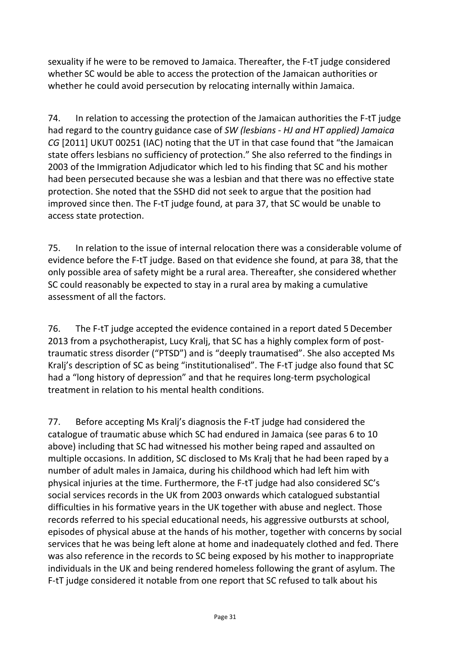sexuality if he were to be removed to Jamaica. Thereafter, the F-tT judge considered whether SC would be able to access the protection of the Jamaican authorities or whether he could avoid persecution by relocating internally within Jamaica.

74. In relation to accessing the protection of the Jamaican authorities the F-tT judge had regard to the country guidance case of *SW (lesbians - HJ and HT applied) Jamaica CG* [2011] UKUT 00251 (IAC) noting that the UT in that case found that "the Jamaican state offers lesbians no sufficiency of protection." She also referred to the findings in 2003 of the Immigration Adjudicator which led to his finding that SC and his mother had been persecuted because she was a lesbian and that there was no effective state protection. She noted that the SSHD did not seek to argue that the position had improved since then. The F-tT judge found, at para 37, that SC would be unable to access state protection.

75. In relation to the issue of internal relocation there was a considerable volume of evidence before the F-tT judge. Based on that evidence she found, at para 38, that the only possible area of safety might be a rural area. Thereafter, she considered whether SC could reasonably be expected to stay in a rural area by making a cumulative assessment of all the factors.

76. The F-tT judge accepted the evidence contained in a report dated 5December 2013 from a psychotherapist, Lucy Kralj, that SC has a highly complex form of posttraumatic stress disorder ("PTSD") and is "deeply traumatised". She also accepted Ms Kralj's description of SC as being "institutionalised". The F-tT judge also found that SC had a "long history of depression" and that he requires long-term psychological treatment in relation to his mental health conditions.

77. Before accepting Ms Kralj's diagnosis the F-tT judge had considered the catalogue of traumatic abuse which SC had endured in Jamaica (see paras 6 to 10 above) including that SC had witnessed his mother being raped and assaulted on multiple occasions. In addition, SC disclosed to Ms Kralj that he had been raped by a number of adult males in Jamaica, during his childhood which had left him with physical injuries at the time. Furthermore, the F-tT judge had also considered SC's social services records in the UK from 2003 onwards which catalogued substantial difficulties in his formative years in the UK together with abuse and neglect. Those records referred to his special educational needs, his aggressive outbursts at school, episodes of physical abuse at the hands of his mother, together with concerns by social services that he was being left alone at home and inadequately clothed and fed. There was also reference in the records to SC being exposed by his mother to inappropriate individuals in the UK and being rendered homeless following the grant of asylum. The F-tT judge considered it notable from one report that SC refused to talk about his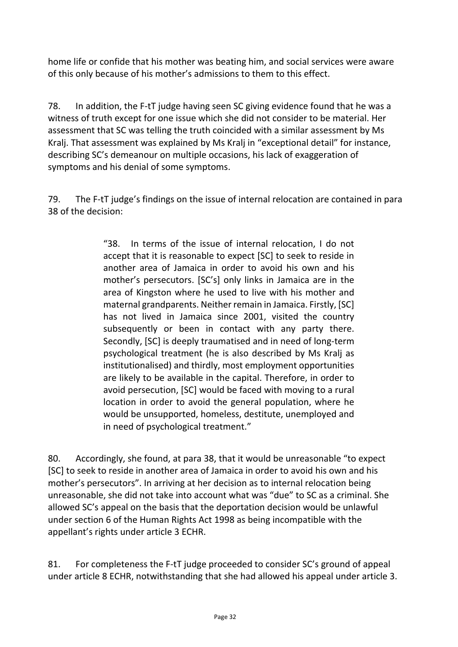home life or confide that his mother was beating him, and social services were aware of this only because of his mother's admissions to them to this effect.

78. In addition, the F-tT judge having seen SC giving evidence found that he was a witness of truth except for one issue which she did not consider to be material. Her assessment that SC was telling the truth coincided with a similar assessment by Ms Kralj. That assessment was explained by Ms Kralj in "exceptional detail" for instance, describing SC's demeanour on multiple occasions, his lack of exaggeration of symptoms and his denial of some symptoms.

79. The F-tT judge's findings on the issue of internal relocation are contained in para 38 of the decision:

> "38. In terms of the issue of internal relocation, I do not accept that it is reasonable to expect [SC] to seek to reside in another area of Jamaica in order to avoid his own and his mother's persecutors. [SC's] only links in Jamaica are in the area of Kingston where he used to live with his mother and maternal grandparents. Neither remain in Jamaica. Firstly, [SC] has not lived in Jamaica since 2001, visited the country subsequently or been in contact with any party there. Secondly, [SC] is deeply traumatised and in need of long-term psychological treatment (he is also described by Ms Kralj as institutionalised) and thirdly, most employment opportunities are likely to be available in the capital. Therefore, in order to avoid persecution, [SC] would be faced with moving to a rural location in order to avoid the general population, where he would be unsupported, homeless, destitute, unemployed and in need of psychological treatment."

80. Accordingly, she found, at para 38, that it would be unreasonable "to expect [SC] to seek to reside in another area of Jamaica in order to avoid his own and his mother's persecutors". In arriving at her decision as to internal relocation being unreasonable, she did not take into account what was "due" to SC as a criminal. She allowed SC's appeal on the basis that the deportation decision would be unlawful under section 6 of the Human Rights Act 1998 as being incompatible with the appellant's rights under article 3 ECHR.

81. For completeness the F-tT judge proceeded to consider SC's ground of appeal under article 8 ECHR, notwithstanding that she had allowed his appeal under article 3.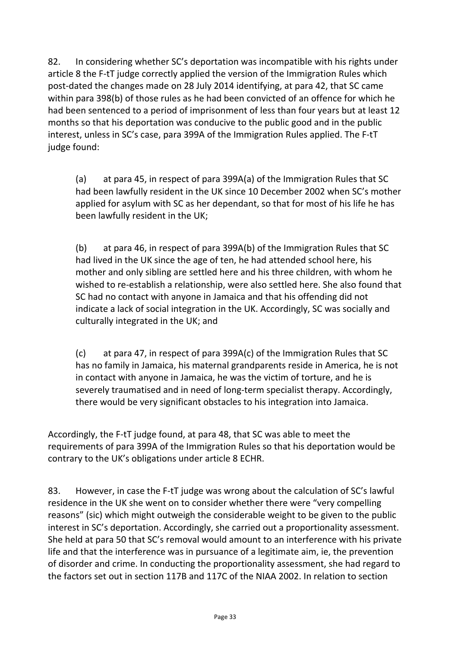82. In considering whether SC's deportation was incompatible with his rights under article 8 the F-tT judge correctly applied the version of the Immigration Rules which post-dated the changes made on 28 July 2014 identifying, at para 42, that SC came within para 398(b) of those rules as he had been convicted of an offence for which he had been sentenced to a period of imprisonment of less than four years but at least 12 months so that his deportation was conducive to the public good and in the public interest, unless in SC's case, para 399A of the Immigration Rules applied. The F-tT judge found:

(a) at para 45, in respect of para 399A(a) of the Immigration Rules that SC had been lawfully resident in the UK since 10 December 2002 when SC's mother applied for asylum with SC as her dependant, so that for most of his life he has been lawfully resident in the UK;

(b) at para 46, in respect of para 399A(b) of the Immigration Rules that SC had lived in the UK since the age of ten, he had attended school here, his mother and only sibling are settled here and his three children, with whom he wished to re-establish a relationship, were also settled here. She also found that SC had no contact with anyone in Jamaica and that his offending did not indicate a lack of social integration in the UK. Accordingly, SC was socially and culturally integrated in the UK; and

(c) at para 47, in respect of para 399A(c) of the Immigration Rules that SC has no family in Jamaica, his maternal grandparents reside in America, he is not in contact with anyone in Jamaica, he was the victim of torture, and he is severely traumatised and in need of long-term specialist therapy. Accordingly, there would be very significant obstacles to his integration into Jamaica.

Accordingly, the F-tT judge found, at para 48, that SC was able to meet the requirements of para 399A of the Immigration Rules so that his deportation would be contrary to the UK's obligations under article 8 ECHR.

83. However, in case the F-tT judge was wrong about the calculation of SC's lawful residence in the UK she went on to consider whether there were "very compelling reasons" (sic) which might outweigh the considerable weight to be given to the public interest in SC's deportation. Accordingly, she carried out a proportionality assessment. She held at para 50 that SC's removal would amount to an interference with his private life and that the interference was in pursuance of a legitimate aim, ie, the prevention of disorder and crime. In conducting the proportionality assessment, she had regard to the factors set out in section 117B and 117C of the NIAA 2002. In relation to section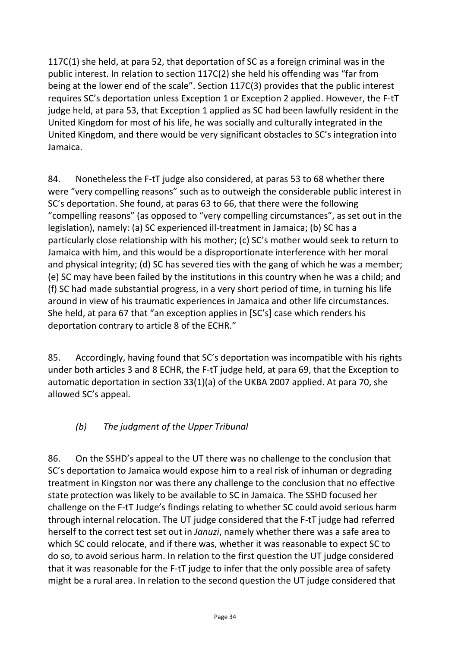117C(1) she held, at para 52, that deportation of SC as a foreign criminal was in the public interest. In relation to section 117C(2) she held his offending was "far from being at the lower end of the scale". Section 117C(3) provides that the public interest requires SC's deportation unless Exception 1 or Exception 2 applied. However, the F-tT judge held, at para 53, that Exception 1 applied as SC had been lawfully resident in the United Kingdom for most of his life, he was socially and culturally integrated in the United Kingdom, and there would be very significant obstacles to SC's integration into Jamaica.

84. Nonetheless the F-tT judge also considered, at paras 53 to 68 whether there were "very compelling reasons" such as to outweigh the considerable public interest in SC's deportation. She found, at paras 63 to 66, that there were the following "compelling reasons" (as opposed to "very compelling circumstances", as set out in the legislation), namely: (a) SC experienced ill-treatment in Jamaica; (b) SC has a particularly close relationship with his mother; (c) SC's mother would seek to return to Jamaica with him, and this would be a disproportionate interference with her moral and physical integrity; (d) SC has severed ties with the gang of which he was a member; (e) SC may have been failed by the institutions in this country when he was a child; and (f) SC had made substantial progress, in a very short period of time, in turning his life around in view of his traumatic experiences in Jamaica and other life circumstances. She held, at para 67 that "an exception applies in [SC's] case which renders his deportation contrary to article 8 of the ECHR."

85. Accordingly, having found that SC's deportation was incompatible with his rights under both articles 3 and 8 ECHR, the F-tT judge held, at para 69, that the Exception to automatic deportation in section 33(1)(a) of the UKBA 2007 applied. At para 70, she allowed SC's appeal.

# *(b) The judgment of the Upper Tribunal*

86. On the SSHD's appeal to the UT there was no challenge to the conclusion that SC's deportation to Jamaica would expose him to a real risk of inhuman or degrading treatment in Kingston nor was there any challenge to the conclusion that no effective state protection was likely to be available to SC in Jamaica. The SSHD focused her challenge on the F-tT Judge's findings relating to whether SC could avoid serious harm through internal relocation. The UT judge considered that the F-tT judge had referred herself to the correct test set out in *Januzi*, namely whether there was a safe area to which SC could relocate, and if there was, whether it was reasonable to expect SC to do so, to avoid serious harm. In relation to the first question the UT judge considered that it was reasonable for the F-tT judge to infer that the only possible area of safety might be a rural area. In relation to the second question the UT judge considered that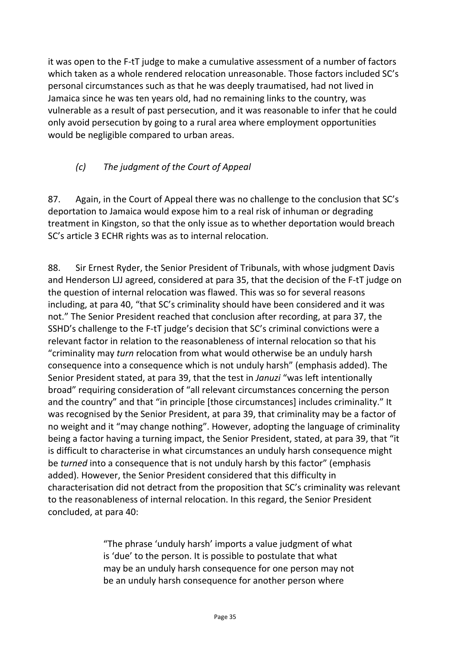it was open to the F-tT judge to make a cumulative assessment of a number of factors which taken as a whole rendered relocation unreasonable. Those factors included SC's personal circumstances such as that he was deeply traumatised, had not lived in Jamaica since he was ten years old, had no remaining links to the country, was vulnerable as a result of past persecution, and it was reasonable to infer that he could only avoid persecution by going to a rural area where employment opportunities would be negligible compared to urban areas.

### *(c) The judgment of the Court of Appeal*

87. Again, in the Court of Appeal there was no challenge to the conclusion that SC's deportation to Jamaica would expose him to a real risk of inhuman or degrading treatment in Kingston, so that the only issue as to whether deportation would breach SC's article 3 ECHR rights was as to internal relocation.

88. Sir Ernest Ryder, the Senior President of Tribunals, with whose judgment Davis and Henderson LJJ agreed, considered at para 35, that the decision of the F-tT judge on the question of internal relocation was flawed. This was so for several reasons including, at para 40, "that SC's criminality should have been considered and it was not." The Senior President reached that conclusion after recording, at para 37, the SSHD's challenge to the F-tT judge's decision that SC's criminal convictions were a relevant factor in relation to the reasonableness of internal relocation so that his "criminality may *turn* relocation from what would otherwise be an unduly harsh consequence into a consequence which is not unduly harsh" (emphasis added). The Senior President stated, at para 39, that the test in *Januzi* "was left intentionally broad" requiring consideration of "all relevant circumstances concerning the person and the country" and that "in principle [those circumstances] includes criminality." It was recognised by the Senior President, at para 39, that criminality may be a factor of no weight and it "may change nothing". However, adopting the language of criminality being a factor having a turning impact, the Senior President, stated, at para 39, that "it is difficult to characterise in what circumstances an unduly harsh consequence might be *turned* into a consequence that is not unduly harsh by this factor" (emphasis added). However, the Senior President considered that this difficulty in characterisation did not detract from the proposition that SC's criminality was relevant to the reasonableness of internal relocation. In this regard, the Senior President concluded, at para 40:

> "The phrase 'unduly harsh' imports a value judgment of what is 'due' to the person. It is possible to postulate that what may be an unduly harsh consequence for one person may not be an unduly harsh consequence for another person where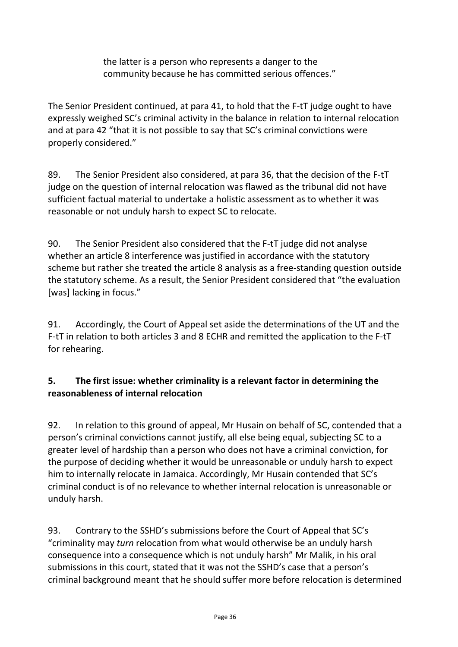the latter is a person who represents a danger to the community because he has committed serious offences."

The Senior President continued, at para 41, to hold that the F-tT judge ought to have expressly weighed SC's criminal activity in the balance in relation to internal relocation and at para 42 "that it is not possible to say that SC's criminal convictions were properly considered."

89. The Senior President also considered, at para 36, that the decision of the F-tT judge on the question of internal relocation was flawed as the tribunal did not have sufficient factual material to undertake a holistic assessment as to whether it was reasonable or not unduly harsh to expect SC to relocate.

90. The Senior President also considered that the F-tT judge did not analyse whether an article 8 interference was justified in accordance with the statutory scheme but rather she treated the article 8 analysis as a free-standing question outside the statutory scheme. As a result, the Senior President considered that "the evaluation [was] lacking in focus."

91. Accordingly, the Court of Appeal set aside the determinations of the UT and the F-tT in relation to both articles 3 and 8 ECHR and remitted the application to the F-tT for rehearing.

#### **5. The first issue: whether criminality is a relevant factor in determining the reasonableness of internal relocation**

92. In relation to this ground of appeal, Mr Husain on behalf of SC, contended that a person's criminal convictions cannot justify, all else being equal, subjecting SC to a greater level of hardship than a person who does not have a criminal conviction, for the purpose of deciding whether it would be unreasonable or unduly harsh to expect him to internally relocate in Jamaica. Accordingly, Mr Husain contended that SC's criminal conduct is of no relevance to whether internal relocation is unreasonable or unduly harsh.

93. Contrary to the SSHD's submissions before the Court of Appeal that SC's "criminality may *turn* relocation from what would otherwise be an unduly harsh consequence into a consequence which is not unduly harsh" Mr Malik, in his oral submissions in this court, stated that it was not the SSHD's case that a person's criminal background meant that he should suffer more before relocation is determined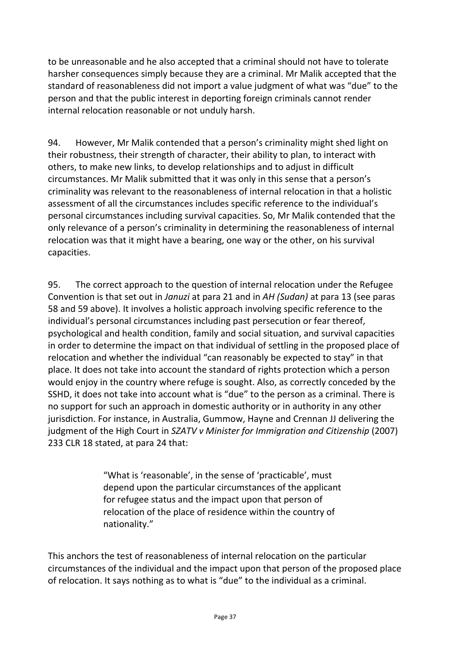to be unreasonable and he also accepted that a criminal should not have to tolerate harsher consequences simply because they are a criminal. Mr Malik accepted that the standard of reasonableness did not import a value judgment of what was "due" to the person and that the public interest in deporting foreign criminals cannot render internal relocation reasonable or not unduly harsh.

94. However, Mr Malik contended that a person's criminality might shed light on their robustness, their strength of character, their ability to plan, to interact with others, to make new links, to develop relationships and to adjust in difficult circumstances. Mr Malik submitted that it was only in this sense that a person's criminality was relevant to the reasonableness of internal relocation in that a holistic assessment of all the circumstances includes specific reference to the individual's personal circumstances including survival capacities. So, Mr Malik contended that the only relevance of a person's criminality in determining the reasonableness of internal relocation was that it might have a bearing, one way or the other, on his survival capacities.

95. The correct approach to the question of internal relocation under the Refugee Convention is that set out in *Januzi* at para 21 and in *AH (Sudan)* at para 13 (see paras 58 and 59 above). It involves a holistic approach involving specific reference to the individual's personal circumstances including past persecution or fear thereof, psychological and health condition, family and social situation, and survival capacities in order to determine the impact on that individual of settling in the proposed place of relocation and whether the individual "can reasonably be expected to stay" in that place. It does not take into account the standard of rights protection which a person would enjoy in the country where refuge is sought. Also, as correctly conceded by the SSHD, it does not take into account what is "due" to the person as a criminal. There is no support for such an approach in domestic authority or in authority in any other jurisdiction. For instance, in Australia, Gummow, Hayne and Crennan JJ delivering the judgment of the High Court in *SZATV v Minister for Immigration and Citizenship* (2007) 233 CLR 18 stated, at para 24 that:

> "What is 'reasonable', in the sense of 'practicable', must depend upon the particular circumstances of the applicant for refugee status and the impact upon that person of relocation of the place of residence within the country of nationality."

This anchors the test of reasonableness of internal relocation on the particular circumstances of the individual and the impact upon that person of the proposed place of relocation. It says nothing as to what is "due" to the individual as a criminal.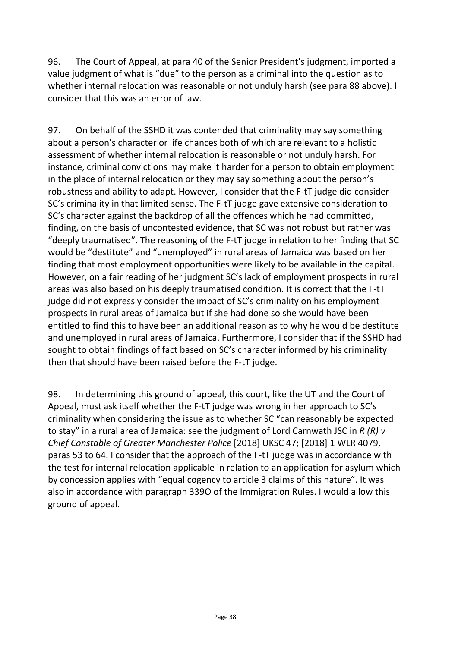96. The Court of Appeal, at para 40 of the Senior President's judgment, imported a value judgment of what is "due" to the person as a criminal into the question as to whether internal relocation was reasonable or not unduly harsh (see para 88 above). I consider that this was an error of law.

97. On behalf of the SSHD it was contended that criminality may say something about a person's character or life chances both of which are relevant to a holistic assessment of whether internal relocation is reasonable or not unduly harsh. For instance, criminal convictions may make it harder for a person to obtain employment in the place of internal relocation or they may say something about the person's robustness and ability to adapt. However, I consider that the F-tT judge did consider SC's criminality in that limited sense. The F-tT judge gave extensive consideration to SC's character against the backdrop of all the offences which he had committed, finding, on the basis of uncontested evidence, that SC was not robust but rather was "deeply traumatised". The reasoning of the F-tT judge in relation to her finding that SC would be "destitute" and "unemployed" in rural areas of Jamaica was based on her finding that most employment opportunities were likely to be available in the capital. However, on a fair reading of her judgment SC's lack of employment prospects in rural areas was also based on his deeply traumatised condition. It is correct that the F-tT judge did not expressly consider the impact of SC's criminality on his employment prospects in rural areas of Jamaica but if she had done so she would have been entitled to find this to have been an additional reason as to why he would be destitute and unemployed in rural areas of Jamaica. Furthermore, I consider that if the SSHD had sought to obtain findings of fact based on SC's character informed by his criminality then that should have been raised before the F-tT judge.

98. In determining this ground of appeal, this court, like the UT and the Court of Appeal, must ask itself whether the F-tT judge was wrong in her approach to SC's criminality when considering the issue as to whether SC "can reasonably be expected to stay" in a rural area of Jamaica: see the judgment of Lord Carnwath JSC in *R (R) v Chief Constable of Greater Manchester Police* [2018] UKSC 47; [2018] 1 WLR 4079, paras 53 to 64. I consider that the approach of the F-tT judge was in accordance with the test for internal relocation applicable in relation to an application for asylum which by concession applies with "equal cogency to article 3 claims of this nature". It was also in accordance with paragraph 339O of the Immigration Rules. I would allow this ground of appeal.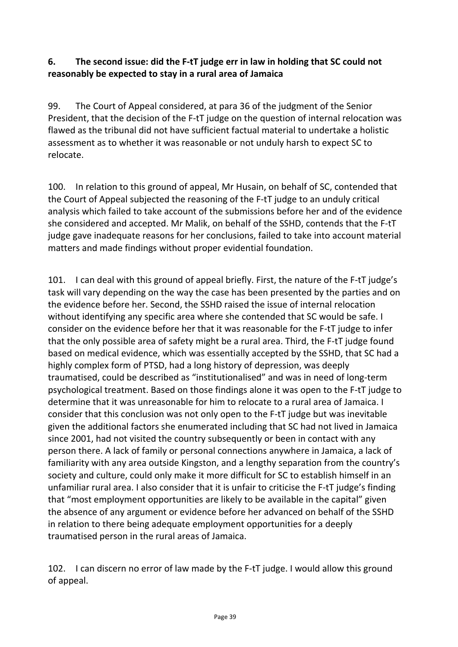#### **6. The second issue: did the F-tT judge err in law in holding that SC could not reasonably be expected to stay in a rural area of Jamaica**

99. The Court of Appeal considered, at para 36 of the judgment of the Senior President, that the decision of the F-tT judge on the question of internal relocation was flawed as the tribunal did not have sufficient factual material to undertake a holistic assessment as to whether it was reasonable or not unduly harsh to expect SC to relocate.

100. In relation to this ground of appeal, Mr Husain, on behalf of SC, contended that the Court of Appeal subjected the reasoning of the F-tT judge to an unduly critical analysis which failed to take account of the submissions before her and of the evidence she considered and accepted. Mr Malik, on behalf of the SSHD, contends that the F-tT judge gave inadequate reasons for her conclusions, failed to take into account material matters and made findings without proper evidential foundation.

101. I can deal with this ground of appeal briefly. First, the nature of the F-tT judge's task will vary depending on the way the case has been presented by the parties and on the evidence before her. Second, the SSHD raised the issue of internal relocation without identifying any specific area where she contended that SC would be safe. I consider on the evidence before her that it was reasonable for the F-tT judge to infer that the only possible area of safety might be a rural area. Third, the F-tT judge found based on medical evidence, which was essentially accepted by the SSHD, that SC had a highly complex form of PTSD, had a long history of depression, was deeply traumatised, could be described as "institutionalised" and was in need of long-term psychological treatment. Based on those findings alone it was open to the F-tT judge to determine that it was unreasonable for him to relocate to a rural area of Jamaica. I consider that this conclusion was not only open to the F-tT judge but was inevitable given the additional factors she enumerated including that SC had not lived in Jamaica since 2001, had not visited the country subsequently or been in contact with any person there. A lack of family or personal connections anywhere in Jamaica, a lack of familiarity with any area outside Kingston, and a lengthy separation from the country's society and culture, could only make it more difficult for SC to establish himself in an unfamiliar rural area. I also consider that it is unfair to criticise the F-tT judge's finding that "most employment opportunities are likely to be available in the capital" given the absence of any argument or evidence before her advanced on behalf of the SSHD in relation to there being adequate employment opportunities for a deeply traumatised person in the rural areas of Jamaica.

102. I can discern no error of law made by the F-tT judge. I would allow this ground of appeal.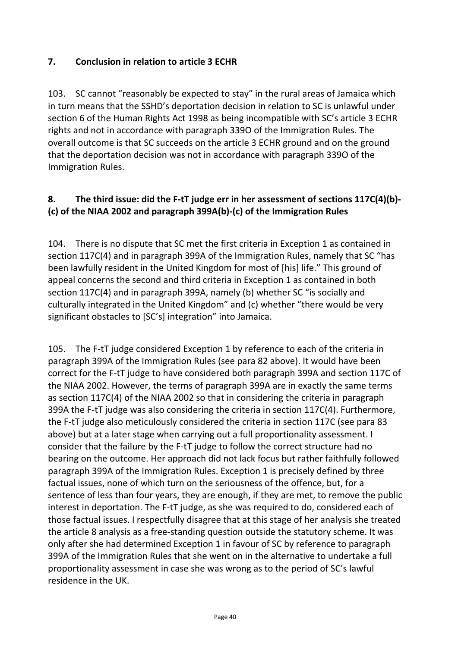#### **7. Conclusion in relation to article 3 ECHR**

103. SC cannot "reasonably be expected to stay" in the rural areas of Jamaica which in turn means that the SSHD's deportation decision in relation to SC is unlawful under section 6 of the Human Rights Act 1998 as being incompatible with SC's article 3 ECHR rights and not in accordance with paragraph 339O of the Immigration Rules. The overall outcome is that SC succeeds on the article 3 ECHR ground and on the ground that the deportation decision was not in accordance with paragraph 339O of the Immigration Rules.

#### **8. The third issue: did the F-tT judge err in her assessment of sections 117C(4)(b)- (c) of the NIAA 2002 and paragraph 399A(b)-(c) of the Immigration Rules**

104. There is no dispute that SC met the first criteria in Exception 1 as contained in section 117C(4) and in paragraph 399A of the Immigration Rules, namely that SC "has been lawfully resident in the United Kingdom for most of [his] life." This ground of appeal concerns the second and third criteria in Exception 1 as contained in both section 117C(4) and in paragraph 399A, namely (b) whether SC "is socially and culturally integrated in the United Kingdom" and (c) whether "there would be very significant obstacles to [SC's] integration" into Jamaica.

105. The F-tT judge considered Exception 1 by reference to each of the criteria in paragraph 399A of the Immigration Rules (see para 82 above). It would have been correct for the F-tT judge to have considered both paragraph 399A and section 117C of the NIAA 2002. However, the terms of paragraph 399A are in exactly the same terms as section 117C(4) of the NIAA 2002 so that in considering the criteria in paragraph 399A the F-tT judge was also considering the criteria in section 117C(4). Furthermore, the F-tT judge also meticulously considered the criteria in section 117C (see para 83 above) but at a later stage when carrying out a full proportionality assessment. I consider that the failure by the F-tT judge to follow the correct structure had no bearing on the outcome. Her approach did not lack focus but rather faithfully followed paragraph 399A of the Immigration Rules. Exception 1 is precisely defined by three factual issues, none of which turn on the seriousness of the offence, but, for a sentence of less than four years, they are enough, if they are met, to remove the public interest in deportation. The F-tT judge, as she was required to do, considered each of those factual issues. I respectfully disagree that at this stage of her analysis she treated the article 8 analysis as a free-standing question outside the statutory scheme. It was only after she had determined Exception 1 in favour of SC by reference to paragraph 399A of the Immigration Rules that she went on in the alternative to undertake a full proportionality assessment in case she was wrong as to the period of SC's lawful residence in the UK.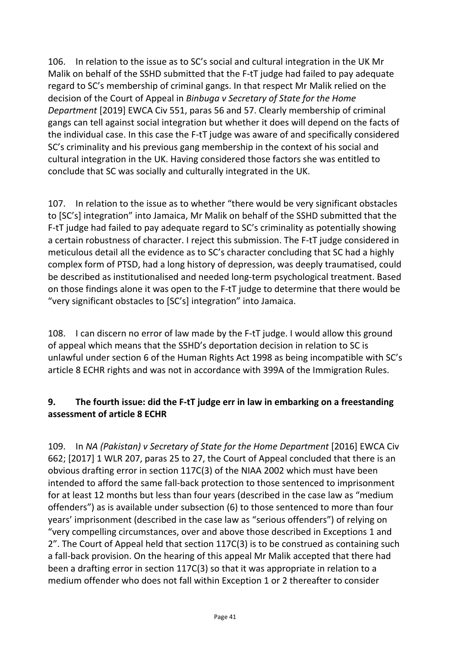106. In relation to the issue as to SC's social and cultural integration in the UK Mr Malik on behalf of the SSHD submitted that the F-tT judge had failed to pay adequate regard to SC's membership of criminal gangs. In that respect Mr Malik relied on the decision of the Court of Appeal in *Binbuga v Secretary of State for the Home Department* [2019] EWCA Civ 551, paras 56 and 57. Clearly membership of criminal gangs can tell against social integration but whether it does will depend on the facts of the individual case. In this case the F-tT judge was aware of and specifically considered SC's criminality and his previous gang membership in the context of his social and cultural integration in the UK. Having considered those factors she was entitled to conclude that SC was socially and culturally integrated in the UK.

107. In relation to the issue as to whether "there would be very significant obstacles to [SC's] integration" into Jamaica, Mr Malik on behalf of the SSHD submitted that the F-tT judge had failed to pay adequate regard to SC's criminality as potentially showing a certain robustness of character. I reject this submission. The F-tT judge considered in meticulous detail all the evidence as to SC's character concluding that SC had a highly complex form of PTSD, had a long history of depression, was deeply traumatised, could be described as institutionalised and needed long-term psychological treatment. Based on those findings alone it was open to the F-tT judge to determine that there would be "very significant obstacles to [SC's] integration" into Jamaica.

108. I can discern no error of law made by the F-tT judge. I would allow this ground of appeal which means that the SSHD's deportation decision in relation to SC is unlawful under section 6 of the Human Rights Act 1998 as being incompatible with SC's article 8 ECHR rights and was not in accordance with 399A of the Immigration Rules.

#### **9. The fourth issue: did the F-tT judge err in law in embarking on a freestanding assessment of article 8 ECHR**

109. In *NA (Pakistan) v Secretary of State for the Home Department* [2016] EWCA Civ 662; [2017] 1 WLR 207, paras 25 to 27, the Court of Appeal concluded that there is an obvious drafting error in section 117C(3) of the NIAA 2002 which must have been intended to afford the same fall-back protection to those sentenced to imprisonment for at least 12 months but less than four years (described in the case law as "medium offenders") as is available under subsection (6) to those sentenced to more than four years' imprisonment (described in the case law as "serious offenders") of relying on "very compelling circumstances, over and above those described in Exceptions 1 and 2". The Court of Appeal held that section 117C(3) is to be construed as containing such a fall-back provision. On the hearing of this appeal Mr Malik accepted that there had been a drafting error in section 117C(3) so that it was appropriate in relation to a medium offender who does not fall within Exception 1 or 2 thereafter to consider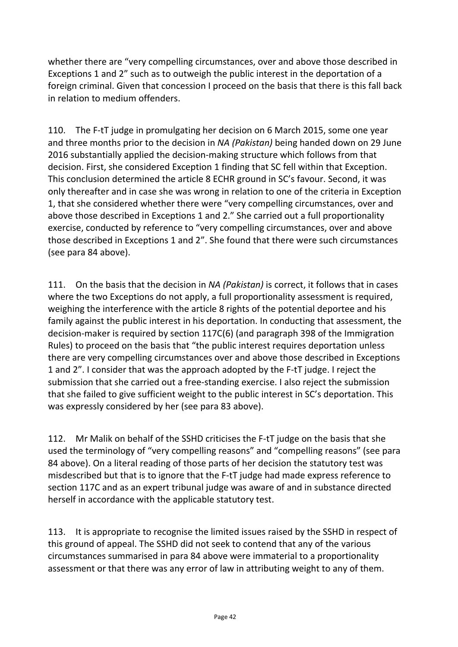whether there are "very compelling circumstances, over and above those described in Exceptions 1 and 2" such as to outweigh the public interest in the deportation of a foreign criminal. Given that concession I proceed on the basis that there is this fall back in relation to medium offenders.

110. The F-tT judge in promulgating her decision on 6 March 2015, some one year and three months prior to the decision in *NA (Pakistan)* being handed down on 29 June 2016 substantially applied the decision-making structure which follows from that decision. First, she considered Exception 1 finding that SC fell within that Exception. This conclusion determined the article 8 ECHR ground in SC's favour. Second, it was only thereafter and in case she was wrong in relation to one of the criteria in Exception 1, that she considered whether there were "very compelling circumstances, over and above those described in Exceptions 1 and 2." She carried out a full proportionality exercise, conducted by reference to "very compelling circumstances, over and above those described in Exceptions 1 and 2". She found that there were such circumstances (see para 84 above).

111. On the basis that the decision in *NA (Pakistan)* is correct, it follows that in cases where the two Exceptions do not apply, a full proportionality assessment is required, weighing the interference with the article 8 rights of the potential deportee and his family against the public interest in his deportation. In conducting that assessment, the decision-maker is required by section 117C(6) (and paragraph 398 of the Immigration Rules) to proceed on the basis that "the public interest requires deportation unless there are very compelling circumstances over and above those described in Exceptions 1 and 2". I consider that was the approach adopted by the F-tT judge. I reject the submission that she carried out a free-standing exercise. I also reject the submission that she failed to give sufficient weight to the public interest in SC's deportation. This was expressly considered by her (see para 83 above).

112. Mr Malik on behalf of the SSHD criticises the F-tT judge on the basis that she used the terminology of "very compelling reasons" and "compelling reasons" (see para 84 above). On a literal reading of those parts of her decision the statutory test was misdescribed but that is to ignore that the F-tT judge had made express reference to section 117C and as an expert tribunal judge was aware of and in substance directed herself in accordance with the applicable statutory test.

113. It is appropriate to recognise the limited issues raised by the SSHD in respect of this ground of appeal. The SSHD did not seek to contend that any of the various circumstances summarised in para 84 above were immaterial to a proportionality assessment or that there was any error of law in attributing weight to any of them.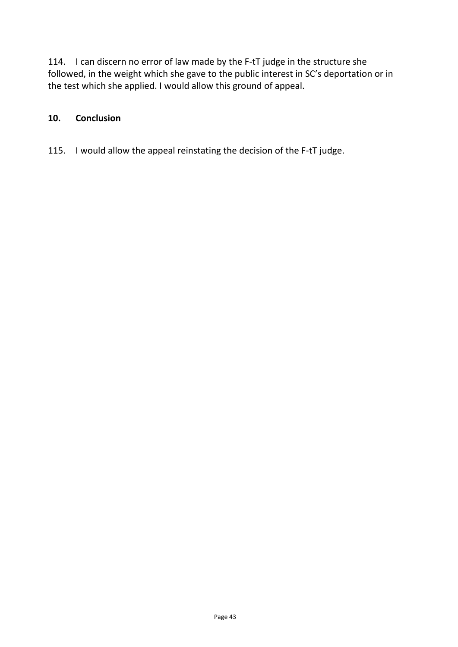114. I can discern no error of law made by the F-tT judge in the structure she followed, in the weight which she gave to the public interest in SC's deportation or in the test which she applied. I would allow this ground of appeal.

#### **10. Conclusion**

115. I would allow the appeal reinstating the decision of the F-tT judge.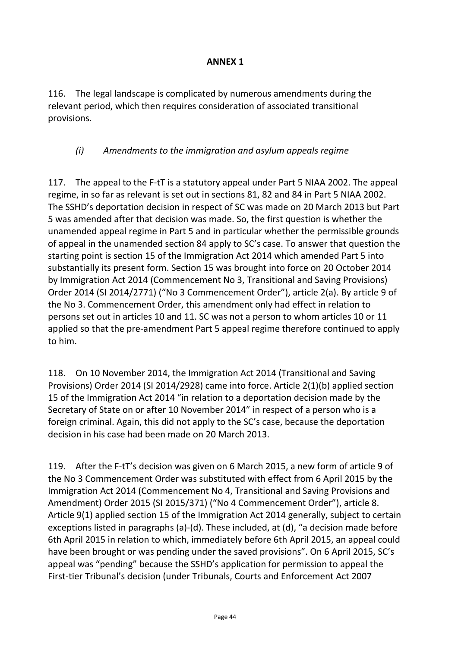#### **ANNEX 1**

116. The legal landscape is complicated by numerous amendments during the relevant period, which then requires consideration of associated transitional provisions.

#### *(i) Amendments to the immigration and asylum appeals regime*

117. The appeal to the F-tT is a statutory appeal under Part 5 NIAA 2002. The appeal regime, in so far as relevant is set out in sections 81, 82 and 84 in Part 5 NIAA 2002. The SSHD's deportation decision in respect of SC was made on 20 March 2013 but Part 5 was amended after that decision was made. So, the first question is whether the unamended appeal regime in Part 5 and in particular whether the permissible grounds of appeal in the unamended section 84 apply to SC's case. To answer that question the starting point is section 15 of the Immigration Act 2014 which amended Part 5 into substantially its present form. Section 15 was brought into force on 20 October 2014 by Immigration Act 2014 (Commencement No 3, Transitional and Saving Provisions) Order 2014 (SI 2014/2771) ("No 3 Commencement Order"), article 2(a). By article 9 of the No 3. Commencement Order, this amendment only had effect in relation to persons set out in articles 10 and 11. SC was not a person to whom articles 10 or 11 applied so that the pre-amendment Part 5 appeal regime therefore continued to apply to him.

118. On 10 November 2014, the Immigration Act 2014 (Transitional and Saving Provisions) Order 2014 (SI 2014/2928) came into force. Article 2(1)(b) applied section 15 of the Immigration Act 2014 "in relation to a deportation decision made by the Secretary of State on or after 10 November 2014" in respect of a person who is a foreign criminal. Again, this did not apply to the SC's case, because the deportation decision in his case had been made on 20 March 2013.

119. After the F-tT's decision was given on 6 March 2015, a new form of article 9 of the No 3 Commencement Order was substituted with effect from 6 April 2015 by the Immigration Act 2014 (Commencement No 4, Transitional and Saving Provisions and Amendment) Order 2015 (SI 2015/371) ("No 4 Commencement Order"), article 8. Article 9(1) applied section 15 of the Immigration Act 2014 generally, subject to certain exceptions listed in paragraphs (a)-(d). These included, at (d), "a decision made before 6th April 2015 in relation to which, immediately before 6th April 2015, an appeal could have been brought or was pending under the saved provisions". On 6 April 2015, SC's appeal was "pending" because the SSHD's application for permission to appeal the First-tier Tribunal's decision (under Tribunals, Courts and Enforcement Act 2007